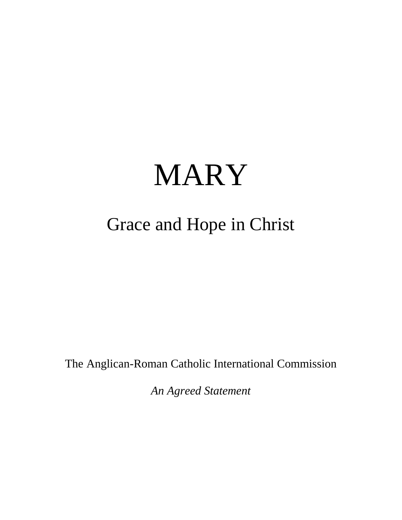# MARY

# Grace and Hope in Christ

The Anglican-Roman Catholic International Commission

*An Agreed Statement*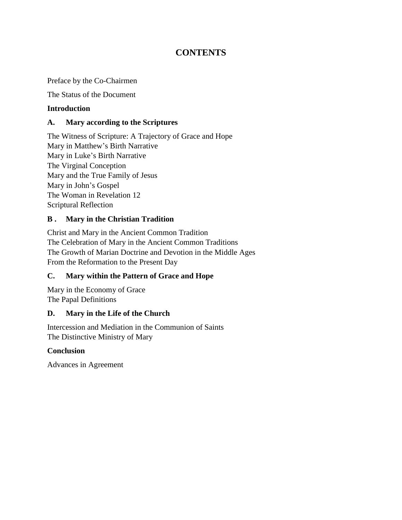# **CONTENTS**

Preface by the Co-Chairmen

The Status of the Document

# **Introduction**

# **A. Mary according to the Scriptures**

The Witness of Scripture: A Trajectory of Grace and Hope Mary in Matthew's Birth Narrative Mary in Luke's Birth Narrative The Virginal Conception Mary and the True Family of Jesus Mary in John's Gospel The Woman in Revelation 12 Scriptural Reflection

# **B . Mary in the Christian Tradition**

Christ and Mary in the Ancient Common Tradition The Celebration of Mary in the Ancient Common Traditions The Growth of Marian Doctrine and Devotion in the Middle Ages From the Reformation to the Present Day

# **C. Mary within the Pattern of Grace and Hope**

Mary in the Economy of Grace The Papal Definitions

# **D. Mary in the Life of the Church**

Intercession and Mediation in the Communion of Saints The Distinctive Ministry of Mary

# **Conclusion**

Advances in Agreement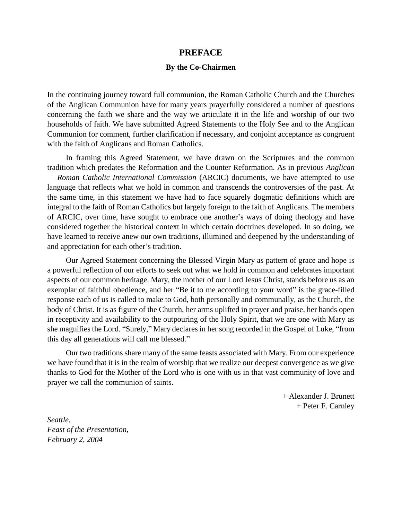#### **PREFACE**

#### **By the Co-Chairmen**

In the continuing journey toward full communion, the Roman Catholic Church and the Churches of the Anglican Communion have for many years prayerfully considered a number of questions concerning the faith we share and the way we articulate it in the life and worship of our two households of faith. We have submitted Agreed Statements to the Holy See and to the Anglican Communion for comment, further clarification if necessary, and conjoint acceptance as congruent with the faith of Anglicans and Roman Catholics.

In framing this Agreed Statement, we have drawn on the Scriptures and the common tradition which predates the Reformation and the Counter Reformation. As in previous *Anglican — Roman Catholic International Commission* (ARCIC) documents, we have attempted to use language that reflects what we hold in common and transcends the controversies of the past. At the same time, in this statement we have had to face squarely dogmatic definitions which are integral to the faith of Roman Catholics but largely foreign to the faith of Anglicans. The members of ARCIC, over time, have sought to embrace one another's ways of doing theology and have considered together the historical context in which certain doctrines developed. In so doing, we have learned to receive anew our own traditions, illumined and deepened by the understanding of and appreciation for each other's tradition.

Our Agreed Statement concerning the Blessed Virgin Mary as pattern of grace and hope is a powerful reflection of our efforts to seek out what we hold in common and celebrates important aspects of our common heritage. Mary, the mother of our Lord Jesus Christ, stands before us as an exemplar of faithful obedience, and her "Be it to me according to your word" is the grace-filled response each of us is called to make to God, both personally and communally, as the Church, the body of Christ. It is as figure of the Church, her arms uplifted in prayer and praise, her hands open in receptivity and availability to the outpouring of the Holy Spirit, that we are one with Mary as she magnifies the Lord. "Surely," Mary declares in her song recorded in the Gospel of Luke, "from this day all generations will call me blessed."

Our two traditions share many of the same feasts associated with Mary. From our experience we have found that it is in the realm of worship that we realize our deepest convergence as we give thanks to God for the Mother of the Lord who is one with us in that vast community of love and prayer we call the communion of saints.

> + Alexander J. Brunett + Peter F. Carnley

*Seattle, Feast of the Presentation, February 2, 2004*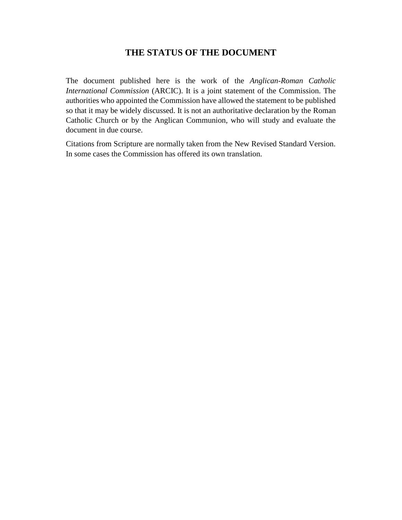# **THE STATUS OF THE DOCUMENT**

The document published here is the work of the *Anglican*-*Roman Catholic International Commission* (ARCIC). It is a joint statement of the Commission. The authorities who appointed the Commission have allowed the statement to be published so that it may be widely discussed. It is not an authoritative declaration by the Roman Catholic Church or by the Anglican Communion, who will study and evaluate the document in due course.

Citations from Scripture are normally taken from the New Revised Standard Version. In some cases the Commission has offered its own translation.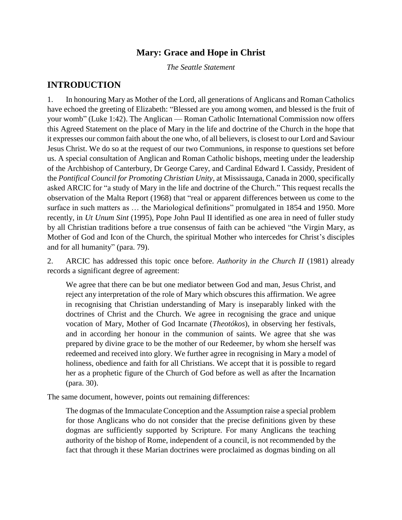# **Mary: Grace and Hope in Christ**

*The Seattle Statement*

# **INTRODUCTION**

1. In honouring Mary as Mother of the Lord, all generations of Anglicans and Roman Catholics have echoed the greeting of Elizabeth: "Blessed are you among women, and blessed is the fruit of your womb" (Luke 1:42). The Anglican — Roman Catholic International Commission now offers this Agreed Statement on the place of Mary in the life and doctrine of the Church in the hope that it expresses our common faith about the one who, of all believers, is closest to our Lord and Saviour Jesus Christ. We do so at the request of our two Communions, in response to questions set before us. A special consultation of Anglican and Roman Catholic bishops, meeting under the leadership of the Archbishop of Canterbury, Dr George Carey, and Cardinal Edward I. Cassidy, President of the *Pontifical Council for Promoting Christian Unity*, at Mississauga, Canada in 2000, specifically asked ARCIC for "a study of Mary in the life and doctrine of the Church." This request recalls the observation of the Malta Report (1968) that "real or apparent differences between us come to the surface in such matters as ... the Mariological definitions" promulgated in 1854 and 1950. More recently, in *Ut Unum Sint* (1995), Pope John Paul II identified as one area in need of fuller study by all Christian traditions before a true consensus of faith can be achieved "the Virgin Mary, as Mother of God and Icon of the Church, the spiritual Mother who intercedes for Christ's disciples and for all humanity" (para. 79).

2. ARCIC has addressed this topic once before. *Authority in the Church II* (1981) already records a significant degree of agreement:

We agree that there can be but one mediator between God and man, Jesus Christ, and reject any interpretation of the role of Mary which obscures this affirmation. We agree in recognising that Christian understanding of Mary is inseparably linked with the doctrines of Christ and the Church. We agree in recognising the grace and unique vocation of Mary, Mother of God Incarnate (*Theotókos*), in observing her festivals, and in according her honour in the communion of saints. We agree that she was prepared by divine grace to be the mother of our Redeemer, by whom she herself was redeemed and received into glory. We further agree in recognising in Mary a model of holiness, obedience and faith for all Christians. We accept that it is possible to regard her as a prophetic figure of the Church of God before as well as after the Incarnation (para. 30).

The same document, however, points out remaining differences:

The dogmas of the Immaculate Conception and the Assumption raise a special problem for those Anglicans who do not consider that the precise definitions given by these dogmas are sufficiently supported by Scripture. For many Anglicans the teaching authority of the bishop of Rome, independent of a council, is not recommended by the fact that through it these Marian doctrines were proclaimed as dogmas binding on all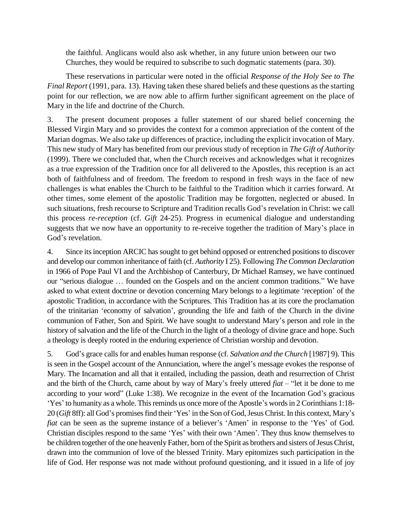the faithful. Anglicans would also ask whether, in any future union between our two Churches, they would be required to subscribe to such dogmatic statements (para. 30).

These reservations in particular were noted in the official *Response of the Holy See to The Final Report* (1991, para. 13). Having taken these shared beliefs and these questions as the starting point for our reflection, we are now able to affirm further significant agreement on the place of Mary in the life and doctrine of the Church.

3. The present document proposes a fuller statement of our shared belief concerning the Blessed Virgin Mary and so provides the context for a common appreciation of the content of the Marian dogmas. We also take up differences of practice, including the explicit invocation of Mary. This new study of Mary has benefited from our previous study of reception in *The Gift of Authority* (1999). There we concluded that, when the Church receives and acknowledges what it recognizes as a true expression of the Tradition once for all delivered to the Apostles, this reception is an act both of faithfulness and of freedom. The freedom to respond in fresh ways in the face of new challenges is what enables the Church to be faithful to the Tradition which it carries forward. At other times, some element of the apostolic Tradition may be forgotten, neglected or abused. In such situations, fresh recourse to Scripture and Tradition recalls God's revelation in Christ: we call this process *re-reception* (cf. *Gift* 24-25). Progress in ecumenical dialogue and understanding suggests that we now have an opportunity to re-receive together the tradition of Mary's place in God's revelation.

4. Since its inception ARCIC has sought to get behind opposed or entrenched positions to discover and develop our common inheritance of faith (cf. *Authority* I 25). Following *The Common Declaration* in 1966 of Pope Paul VI and the Archbishop of Canterbury, Dr Michael Ramsey, we have continued our "serious dialogue … founded on the Gospels and on the ancient common traditions." We have asked to what extent doctrine or devotion concerning Mary belongs to a legitimate 'reception' of the apostolic Tradition, in accordance with the Scriptures. This Tradition has at its core the proclamation of the trinitarian 'economy of salvation', grounding the life and faith of the Church in the divine communion of Father, Son and Spirit. We have sought to understand Mary's person and role in the history of salvation and the life of the Church in the light of a theology of divine grace and hope. Such a theology is deeply rooted in the enduring experience of Christian worship and devotion.

5. God's grace calls for and enables human response (cf. *Salvation and the Church* [1987] 9). This is seen in the Gospel account of the Annunciation, where the angel's message evokes the response of Mary. The Incarnation and all that it entailed, including the passion, death and resurrection of Christ and the birth of the Church, came about by way of Mary's freely uttered *fiat* – "let it be done to me according to your word" (Luke 1:38). We recognize in the event of the Incarnation God's gracious 'Yes' to humanity as a whole. This reminds us once more of the Apostle's words in 2 Corinthians 1:18- 20 (*Gift* 8ff): all God's promises find their 'Yes' in the Son of God, Jesus Christ. In this context, Mary's *fiat* can be seen as the supreme instance of a believer's 'Amen' in response to the 'Yes' of God. Christian disciples respond to the same 'Yes' with their own 'Amen'. They thus know themselves to be children together of the one heavenly Father, born of the Spirit as brothers and sisters of Jesus Christ, drawn into the communion of love of the blessed Trinity. Mary epitomizes such participation in the life of God. Her response was not made without profound questioning, and it issued in a life of joy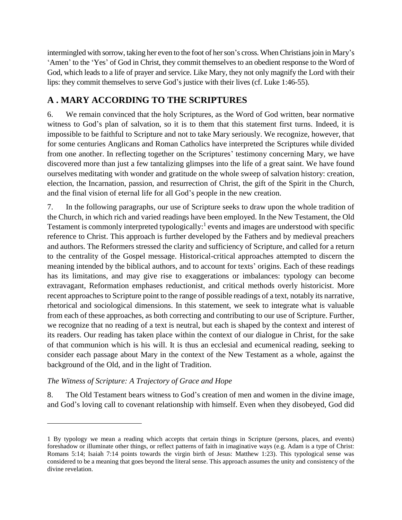intermingled with sorrow, taking her even to the foot of her son's cross. When Christians join in Mary's 'Amen' to the 'Yes' of God in Christ, they commit themselves to an obedient response to the Word of God, which leads to a life of prayer and service. Like Mary, they not only magnify the Lord with their lips: they commit themselves to serve God's justice with their lives (cf. Luke 1:46-55).

# **A . MARY ACCORDING TO THE SCRIPTURES**

6. We remain convinced that the holy Scriptures, as the Word of God written, bear normative witness to God's plan of salvation, so it is to them that this statement first turns. Indeed, it is impossible to be faithful to Scripture and not to take Mary seriously. We recognize, however, that for some centuries Anglicans and Roman Catholics have interpreted the Scriptures while divided from one another. In reflecting together on the Scriptures' testimony concerning Mary, we have discovered more than just a few tantalizing glimpses into the life of a great saint. We have found ourselves meditating with wonder and gratitude on the whole sweep of salvation history: creation, election, the Incarnation, passion, and resurrection of Christ, the gift of the Spirit in the Church, and the final vision of eternal life for all God's people in the new creation.

7. In the following paragraphs, our use of Scripture seeks to draw upon the whole tradition of the Church, in which rich and varied readings have been employed. In the New Testament, the Old Testament is commonly interpreted typologically: 1 events and images are understood with specific reference to Christ. This approach is further developed by the Fathers and by medieval preachers and authors. The Reformers stressed the clarity and sufficiency of Scripture, and called for a return to the centrality of the Gospel message. Historical-critical approaches attempted to discern the meaning intended by the biblical authors, and to account for texts' origins. Each of these readings has its limitations, and may give rise to exaggerations or imbalances: typology can become extravagant, Reformation emphases reductionist, and critical methods overly historicist. More recent approaches to Scripture point to the range of possible readings of a text, notably its narrative, rhetorical and sociological dimensions. In this statement, we seek to integrate what is valuable from each of these approaches, as both correcting and contributing to our use of Scripture. Further, we recognize that no reading of a text is neutral, but each is shaped by the context and interest of its readers. Our reading has taken place within the context of our dialogue in Christ, for the sake of that communion which is his will. It is thus an ecclesial and ecumenical reading, seeking to consider each passage about Mary in the context of the New Testament as a whole, against the background of the Old, and in the light of Tradition.

# *The Witness of Scripture: A Trajectory of Grace and Hope*

 $\overline{a}$ 

8. The Old Testament bears witness to God's creation of men and women in the divine image, and God's loving call to covenant relationship with himself. Even when they disobeyed, God did

<sup>1</sup> By typology we mean a reading which accepts that certain things in Scripture (persons, places, and events) foreshadow or illuminate other things, or reflect patterns of faith in imaginative ways (e.g. Adam is a type of Christ: Romans 5:14; Isaiah 7:14 points towards the virgin birth of Jesus: Matthew 1:23). This typological sense was considered to be a meaning that goes beyond the literal sense. This approach assumes the unity and consistency of the divine revelation.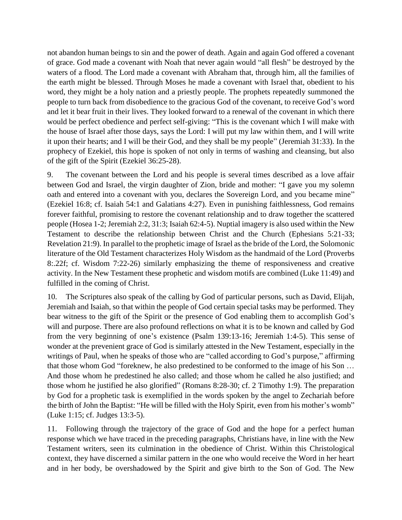not abandon human beings to sin and the power of death. Again and again God offered a covenant of grace. God made a covenant with Noah that never again would "all flesh" be destroyed by the waters of a flood. The Lord made a covenant with Abraham that, through him, all the families of the earth might be blessed. Through Moses he made a covenant with Israel that, obedient to his word, they might be a holy nation and a priestly people. The prophets repeatedly summoned the people to turn back from disobedience to the gracious God of the covenant, to receive God's word and let it bear fruit in their lives. They looked forward to a renewal of the covenant in which there would be perfect obedience and perfect self-giving: "This is the covenant which I will make with the house of Israel after those days, says the Lord: I will put my law within them, and I will write it upon their hearts; and I will be their God, and they shall be my people" (Jeremiah 31:33). In the prophecy of Ezekiel, this hope is spoken of not only in terms of washing and cleansing, but also of the gift of the Spirit (Ezekiel 36:25-28).

9. The covenant between the Lord and his people is several times described as a love affair between God and Israel, the virgin daughter of Zion, bride and mother: "I gave you my solemn oath and entered into a covenant with you, declares the Sovereign Lord, and you became mine" (Ezekiel 16:8; cf. Isaiah 54:1 and Galatians 4:27). Even in punishing faithlessness, God remains forever faithful, promising to restore the covenant relationship and to draw together the scattered people (Hosea 1-2; Jeremiah 2:2, 31:3; Isaiah 62:4-5). Nuptial imagery is also used within the New Testament to describe the relationship between Christ and the Church (Ephesians 5:21-33; Revelation 21:9). In parallel to the prophetic image of Israel as the bride of the Lord, the Solomonic literature of the Old Testament characterizes Holy Wisdom as the handmaid of the Lord (Proverbs 8:.22f; cf. Wisdom 7:22-26) similarly emphasizing the theme of responsiveness and creative activity. In the New Testament these prophetic and wisdom motifs are combined (Luke 11:49) and fulfilled in the coming of Christ.

10. The Scriptures also speak of the calling by God of particular persons, such as David, Elijah, Jeremiah and Isaiah, so that within the people of God certain special tasks may be performed. They bear witness to the gift of the Spirit or the presence of God enabling them to accomplish God's will and purpose. There are also profound reflections on what it is to be known and called by God from the very beginning of one's existence (Psalm 139:13-16; Jeremiah 1:4-5). This sense of wonder at the prevenient grace of God is similarly attested in the New Testament, especially in the writings of Paul, when he speaks of those who are "called according to God's purpose," affirming that those whom God "foreknew, he also predestined to be conformed to the image of his Son … And those whom he predestined he also called; and those whom he called he also justified; and those whom he justified he also glorified" (Romans 8:28-30; cf. 2 Timothy 1:9). The preparation by God for a prophetic task is exemplified in the words spoken by the angel to Zechariah before the birth of John the Baptist: "He will be filled with the Holy Spirit, even from his mother's womb" (Luke 1:15; cf. Judges 13:3-5).

11. Following through the trajectory of the grace of God and the hope for a perfect human response which we have traced in the preceding paragraphs, Christians have, in line with the New Testament writers, seen its culmination in the obedience of Christ. Within this Christological context, they have discerned a similar pattern in the one who would receive the Word in her heart and in her body, be overshadowed by the Spirit and give birth to the Son of God. The New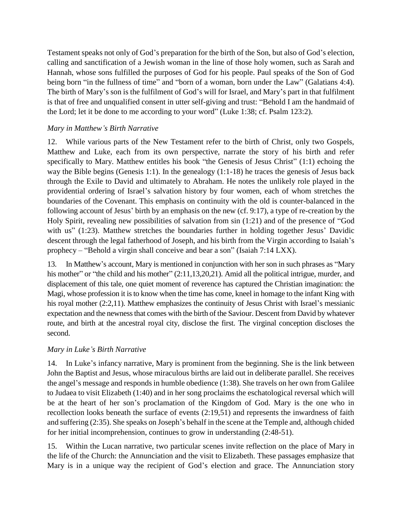Testament speaks not only of God's preparation for the birth of the Son, but also of God's election, calling and sanctification of a Jewish woman in the line of those holy women, such as Sarah and Hannah, whose sons fulfilled the purposes of God for his people. Paul speaks of the Son of God being born "in the fullness of time" and "born of a woman, born under the Law" (Galatians 4:4). The birth of Mary's son is the fulfilment of God's will for Israel, and Mary's part in that fulfilment is that of free and unqualified consent in utter self-giving and trust: "Behold I am the handmaid of the Lord; let it be done to me according to your word" (Luke 1:38; cf. Psalm 123:2).

# *Mary in Matthew's Birth Narrative*

12. While various parts of the New Testament refer to the birth of Christ, only two Gospels, Matthew and Luke, each from its own perspective, narrate the story of his birth and refer specifically to Mary. Matthew entitles his book "the Genesis of Jesus Christ" (1:1) echoing the way the Bible begins (Genesis 1:1). In the genealogy (1:1-18) he traces the genesis of Jesus back through the Exile to David and ultimately to Abraham. He notes the unlikely role played in the providential ordering of Israel's salvation history by four women, each of whom stretches the boundaries of the Covenant. This emphasis on continuity with the old is counter-balanced in the following account of Jesus' birth by an emphasis on the new (cf. 9:17), a type of re-creation by the Holy Spirit, revealing new possibilities of salvation from sin (1:21) and of the presence of "God with us" (1:23). Matthew stretches the boundaries further in holding together Jesus' Davidic descent through the legal fatherhood of Joseph, and his birth from the Virgin according to Isaiah's prophecy – "Behold a virgin shall conceive and bear a son" (Isaiah 7:14 LXX).

13. In Matthew's account, Mary is mentioned in conjunction with her son in such phrases as "Mary his mother" or "the child and his mother"  $(2.11,13,20,21)$ . Amid all the political intrigue, murder, and displacement of this tale, one quiet moment of reverence has captured the Christian imagination: the Magi, whose profession it is to know when the time has come, kneel in homage to the infant King with his royal mother (2:2,11). Matthew emphasizes the continuity of Jesus Christ with Israel's messianic expectation and the newness that comes with the birth of the Saviour. Descent from David by whatever route, and birth at the ancestral royal city, disclose the first. The virginal conception discloses the second.

# *Mary in Luke's Birth Narrative*

14. In Luke's infancy narrative, Mary is prominent from the beginning. She is the link between John the Baptist and Jesus, whose miraculous births are laid out in deliberate parallel. She receives the angel's message and responds in humble obedience (1:38). She travels on her own from Galilee to Judaea to visit Elizabeth (1:40) and in her song proclaims the eschatological reversal which will be at the heart of her son's proclamation of the Kingdom of God. Mary is the one who in recollection looks beneath the surface of events (2:19,51) and represents the inwardness of faith and suffering (2:35). She speaks on Joseph's behalf in the scene at the Temple and, although chided for her initial incomprehension, continues to grow in understanding (2:48-51).

15. Within the Lucan narrative, two particular scenes invite reflection on the place of Mary in the life of the Church: the Annunciation and the visit to Elizabeth. These passages emphasize that Mary is in a unique way the recipient of God's election and grace. The Annunciation story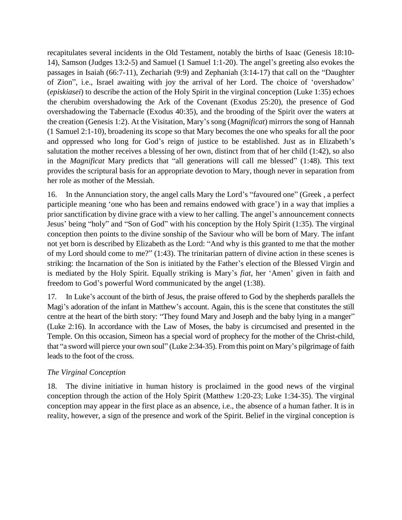recapitulates several incidents in the Old Testament, notably the births of Isaac (Genesis 18:10- 14), Samson (Judges 13:2-5) and Samuel (1 Samuel 1:1-20). The angel's greeting also evokes the passages in Isaiah (66:7-11), Zechariah (9:9) and Zephaniah (3:14-17) that call on the "Daughter of Zion", i.e., Israel awaiting with joy the arrival of her Lord. The choice of 'overshadow' (*episkiasei*) to describe the action of the Holy Spirit in the virginal conception (Luke 1:35) echoes the cherubim overshadowing the Ark of the Covenant (Exodus 25:20), the presence of God overshadowing the Tabernacle (Exodus 40:35), and the brooding of the Spirit over the waters at the creation (Genesis 1:2). At the Visitation, Mary's song (*Magnificat*) mirrors the song of Hannah (1 Samuel 2:1-10), broadening its scope so that Mary becomes the one who speaks for all the poor and oppressed who long for God's reign of justice to be established. Just as in Elizabeth's salutation the mother receives a blessing of her own, distinct from that of her child (1:42), so also in the *Magnificat* Mary predicts that "all generations will call me blessed" (1:48). This text provides the scriptural basis for an appropriate devotion to Mary, though never in separation from her role as mother of the Messiah.

16. In the Annunciation story, the angel calls Mary the Lord's "favoured one" (Greek , a perfect participle meaning 'one who has been and remains endowed with grace') in a way that implies a prior sanctification by divine grace with a view to her calling. The angel's announcement connects Jesus' being "holy" and "Son of God" with his conception by the Holy Spirit (1:35). The virginal conception then points to the divine sonship of the Saviour who will be born of Mary. The infant not yet born is described by Elizabeth as the Lord: "And why is this granted to me that the mother of my Lord should come to me?" (1:43). The trinitarian pattern of divine action in these scenes is striking: the Incarnation of the Son is initiated by the Father's election of the Blessed Virgin and is mediated by the Holy Spirit. Equally striking is Mary's *fiat*, her 'Amen' given in faith and freedom to God's powerful Word communicated by the angel (1:38).

17. In Luke's account of the birth of Jesus, the praise offered to God by the shepherds parallels the Magi's adoration of the infant in Matthew's account. Again, this is the scene that constitutes the still centre at the heart of the birth story: "They found Mary and Joseph and the baby lying in a manger" (Luke 2:16). In accordance with the Law of Moses, the baby is circumcised and presented in the Temple. On this occasion, Simeon has a special word of prophecy for the mother of the Christ-child, that "a sword will pierce your own soul" (Luke 2:34-35). From this point on Mary's pilgrimage of faith leads to the foot of the cross.

## *The Virginal Conception*

18. The divine initiative in human history is proclaimed in the good news of the virginal conception through the action of the Holy Spirit (Matthew 1:20-23; Luke 1:34-35). The virginal conception may appear in the first place as an absence, i.e., the absence of a human father. It is in reality, however, a sign of the presence and work of the Spirit. Belief in the virginal conception is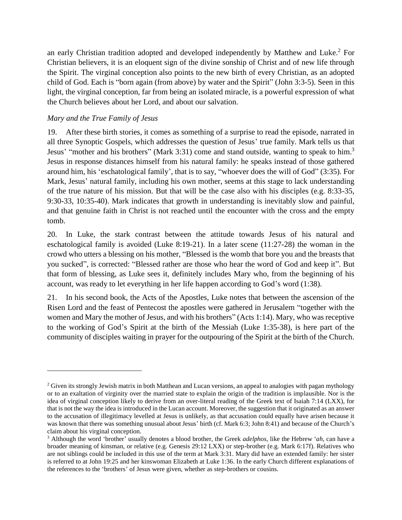an early Christian tradition adopted and developed independently by Matthew and Luke.<sup>2</sup> For Christian believers, it is an eloquent sign of the divine sonship of Christ and of new life through the Spirit. The virginal conception also points to the new birth of every Christian, as an adopted child of God. Each is "born again (from above) by water and the Spirit" (John 3:3-5). Seen in this light, the virginal conception, far from being an isolated miracle, is a powerful expression of what the Church believes about her Lord, and about our salvation.

# *Mary and the True Family of Jesus*

 $\overline{a}$ 

19. After these birth stories, it comes as something of a surprise to read the episode, narrated in all three Synoptic Gospels, which addresses the question of Jesus' true family. Mark tells us that Jesus' "mother and his brothers" (Mark 3:31) come and stand outside, wanting to speak to him.<sup>3</sup> Jesus in response distances himself from his natural family: he speaks instead of those gathered around him, his 'eschatological family', that is to say, "whoever does the will of God" (3:35). For Mark, Jesus' natural family, including his own mother, seems at this stage to lack understanding of the true nature of his mission. But that will be the case also with his disciples (e.g. 8:33-35, 9:30-33, 10:35-40). Mark indicates that growth in understanding is inevitably slow and painful, and that genuine faith in Christ is not reached until the encounter with the cross and the empty tomb.

20. In Luke, the stark contrast between the attitude towards Jesus of his natural and eschatological family is avoided (Luke 8:19-21). In a later scene (11:27-28) the woman in the crowd who utters a blessing on his mother, "Blessed is the womb that bore you and the breasts that you sucked", is corrected: "Blessed rather are those who hear the word of God and keep it". But that form of blessing, as Luke sees it, definitely includes Mary who, from the beginning of his account, was ready to let everything in her life happen according to God's word (1:38).

21. In his second book, the Acts of the Apostles, Luke notes that between the ascension of the Risen Lord and the feast of Pentecost the apostles were gathered in Jerusalem "together with the women and Mary the mother of Jesus, and with his brothers" (Acts 1:14). Mary, who was receptive to the working of God's Spirit at the birth of the Messiah (Luke 1:35-38), is here part of the community of disciples waiting in prayer for the outpouring of the Spirit at the birth of the Church.

<sup>&</sup>lt;sup>2</sup> Given its strongly Jewish matrix in both Matthean and Lucan versions, an appeal to analogies with pagan mythology or to an exaltation of virginity over the married state to explain the origin of the tradition is implausible. Nor is the idea of virginal conception likely to derive from an over-literal reading of the Greek text of Isaiah 7:14 (LXX), for that is not the way the idea is introduced in the Lucan account. Moreover, the suggestion that it originated as an answer to the accusation of illegitimacy levelled at Jesus is unlikely, as that accusation could equally have arisen because it was known that there was something unusual about Jesus' birth (cf. Mark 6:3; John 8:41) and because of the Church's claim about his virginal conception.

<sup>3</sup> Although the word 'brother' usually denotes a blood brother, the Greek *adelphos*, like the Hebrew '*ah*, can have a broader meaning of kinsman, or relative (e.g. Genesis 29:12 LXX) or step-brother (e.g. Mark 6:17f). Relatives who are not siblings could be included in this use of the term at Mark 3:31. Mary did have an extended family: her sister is referred to at John 19:25 and her kinswoman Elizabeth at Luke 1:36. In the early Church different explanations of the references to the 'brothers' of Jesus were given, whether as step-brothers or cousins.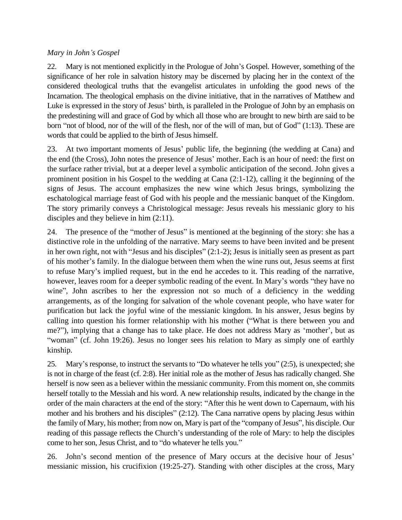# *Mary in John's Gospel*

22. Mary is not mentioned explicitly in the Prologue of John's Gospel. However, something of the significance of her role in salvation history may be discerned by placing her in the context of the considered theological truths that the evangelist articulates in unfolding the good news of the Incarnation. The theological emphasis on the divine initiative, that in the narratives of Matthew and Luke is expressed in the story of Jesus' birth, is paralleled in the Prologue of John by an emphasis on the predestining will and grace of God by which all those who are brought to new birth are said to be born "not of blood, nor of the will of the flesh, nor of the will of man, but of God" (1:13). These are words that could be applied to the birth of Jesus himself.

23. At two important moments of Jesus' public life, the beginning (the wedding at Cana) and the end (the Cross), John notes the presence of Jesus' mother. Each is an hour of need: the first on the surface rather trivial, but at a deeper level a symbolic anticipation of the second. John gives a prominent position in his Gospel to the wedding at Cana (2:1-12), calling it the beginning of the signs of Jesus. The account emphasizes the new wine which Jesus brings, symbolizing the eschatological marriage feast of God with his people and the messianic banquet of the Kingdom. The story primarily conveys a Christological message: Jesus reveals his messianic glory to his disciples and they believe in him (2:11).

24. The presence of the "mother of Jesus" is mentioned at the beginning of the story: she has a distinctive role in the unfolding of the narrative. Mary seems to have been invited and be present in her own right, not with "Jesus and his disciples" (2:1-2); Jesus is initially seen as present as part of his mother's family. In the dialogue between them when the wine runs out, Jesus seems at first to refuse Mary's implied request, but in the end he accedes to it. This reading of the narrative, however, leaves room for a deeper symbolic reading of the event. In Mary's words "they have no wine", John ascribes to her the expression not so much of a deficiency in the wedding arrangements, as of the longing for salvation of the whole covenant people, who have water for purification but lack the joyful wine of the messianic kingdom. In his answer, Jesus begins by calling into question his former relationship with his mother ("What is there between you and me?"), implying that a change has to take place. He does not address Mary as 'mother', but as "woman" (cf. John 19:26). Jesus no longer sees his relation to Mary as simply one of earthly kinship.

25. Mary's response, to instruct the servants to "Do whatever he tells you" (2:5), is unexpected; she is not in charge of the feast (cf. 2:8). Her initial role as the mother of Jesus has radically changed. She herself is now seen as a believer within the messianic community. From this moment on, she commits herself totally to the Messiah and his word. A new relationship results, indicated by the change in the order of the main characters at the end of the story: "After this he went down to Capernaum, with his mother and his brothers and his disciples" (2:12). The Cana narrative opens by placing Jesus within the family of Mary, his mother; from now on, Mary is part of the "company of Jesus", his disciple. Our reading of this passage reflects the Church's understanding of the role of Mary: to help the disciples come to her son, Jesus Christ, and to "do whatever he tells you."

26. John's second mention of the presence of Mary occurs at the decisive hour of Jesus' messianic mission, his crucifixion (19:25-27). Standing with other disciples at the cross, Mary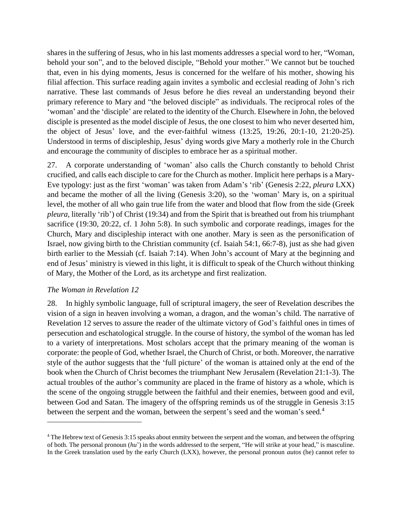shares in the suffering of Jesus, who in his last moments addresses a special word to her, "Woman, behold your son", and to the beloved disciple, "Behold your mother." We cannot but be touched that, even in his dying moments, Jesus is concerned for the welfare of his mother, showing his filial affection. This surface reading again invites a symbolic and ecclesial reading of John's rich narrative. These last commands of Jesus before he dies reveal an understanding beyond their primary reference to Mary and "the beloved disciple" as individuals. The reciprocal roles of the 'woman' and the 'disciple' are related to the identity of the Church. Elsewhere in John, the beloved disciple is presented as the model disciple of Jesus, the one closest to him who never deserted him, the object of Jesus' love, and the ever-faithful witness (13:25, 19:26, 20:1-10, 21:20-25). Understood in terms of discipleship, Jesus' dying words give Mary a motherly role in the Church and encourage the community of disciples to embrace her as a spiritual mother.

27. A corporate understanding of 'woman' also calls the Church constantly to behold Christ crucified, and calls each disciple to care for the Church as mother. Implicit here perhaps is a Mary-Eve typology: just as the first 'woman' was taken from Adam's 'rib' (Genesis 2:22, *pleura* LXX) and became the mother of all the living (Genesis 3:20), so the 'woman' Mary is, on a spiritual level, the mother of all who gain true life from the water and blood that flow from the side (Greek *pleura*, literally 'rib') of Christ (19:34) and from the Spirit that is breathed out from his triumphant sacrifice (19:30, 20:22, cf. 1 John 5:8). In such symbolic and corporate readings, images for the Church, Mary and discipleship interact with one another. Mary is seen as the personification of Israel, now giving birth to the Christian community (cf. Isaiah 54:1, 66:7-8), just as she had given birth earlier to the Messiah (cf. Isaiah 7:14). When John's account of Mary at the beginning and end of Jesus' ministry is viewed in this light, it is difficult to speak of the Church without thinking of Mary, the Mother of the Lord, as its archetype and first realization.

#### *The Woman in Revelation 12*

 $\overline{\phantom{a}}$ 

28. In highly symbolic language, full of scriptural imagery, the seer of Revelation describes the vision of a sign in heaven involving a woman, a dragon, and the woman's child. The narrative of Revelation 12 serves to assure the reader of the ultimate victory of God's faithful ones in times of persecution and eschatological struggle. In the course of history, the symbol of the woman has led to a variety of interpretations. Most scholars accept that the primary meaning of the woman is corporate: the people of God, whether Israel, the Church of Christ, or both. Moreover, the narrative style of the author suggests that the 'full picture' of the woman is attained only at the end of the book when the Church of Christ becomes the triumphant New Jerusalem (Revelation 21:1-3). The actual troubles of the author's community are placed in the frame of history as a whole, which is the scene of the ongoing struggle between the faithful and their enemies, between good and evil, between God and Satan. The imagery of the offspring reminds us of the struggle in Genesis 3:15 between the serpent and the woman, between the serpent's seed and the woman's seed.<sup>4</sup>

<sup>4</sup> The Hebrew text of Genesis 3:15 speaks about enmity between the serpent and the woman, and between the offspring of both. The personal pronoun (*hu*') in the words addressed to the serpent, "He will strike at your head," is masculine. In the Greek translation used by the early Church (LXX), however, the personal pronoun *autos* (he) cannot refer to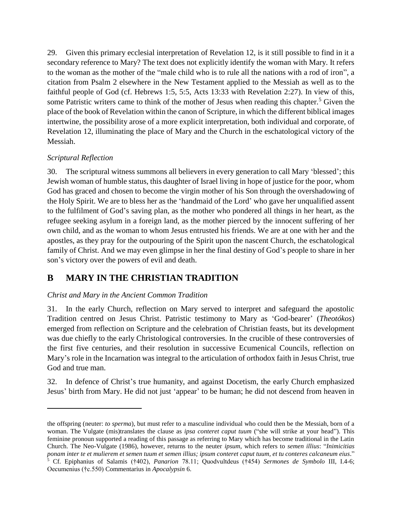29. Given this primary ecclesial interpretation of Revelation 12, is it still possible to find in it a secondary reference to Mary? The text does not explicitly identify the woman with Mary. It refers to the woman as the mother of the "male child who is to rule all the nations with a rod of iron", a citation from Psalm 2 elsewhere in the New Testament applied to the Messiah as well as to the faithful people of God (cf. Hebrews 1:5, 5:5, Acts 13:33 with Revelation 2:27). In view of this, some Patristic writers came to think of the mother of Jesus when reading this chapter.<sup>5</sup> Given the place of the book of Revelation within the canon of Scripture, in which the different biblical images intertwine, the possibility arose of a more explicit interpretation, both individual and corporate, of Revelation 12, illuminating the place of Mary and the Church in the eschatological victory of the Messiah.

# *Scriptural Reflection*

 $\overline{\phantom{a}}$ 

30. The scriptural witness summons all believers in every generation to call Mary 'blessed'; this Jewish woman of humble status, this daughter of Israel living in hope of justice for the poor, whom God has graced and chosen to become the virgin mother of his Son through the overshadowing of the Holy Spirit. We are to bless her as the 'handmaid of the Lord' who gave her unqualified assent to the fulfilment of God's saving plan, as the mother who pondered all things in her heart, as the refugee seeking asylum in a foreign land, as the mother pierced by the innocent suffering of her own child, and as the woman to whom Jesus entrusted his friends. We are at one with her and the apostles, as they pray for the outpouring of the Spirit upon the nascent Church, the eschatological family of Christ. And we may even glimpse in her the final destiny of God's people to share in her son's victory over the powers of evil and death.

# **B MARY IN THE CHRISTIAN TRADITION**

# *Christ and Mary in the Ancient Common Tradition*

31. In the early Church, reflection on Mary served to interpret and safeguard the apostolic Tradition centred on Jesus Christ. Patristic testimony to Mary as 'God-bearer' (*Theotókos*) emerged from reflection on Scripture and the celebration of Christian feasts, but its development was due chiefly to the early Christological controversies. In the crucible of these controversies of the first five centuries, and their resolution in successive Ecumenical Councils, reflection on Mary's role in the Incarnation was integral to the articulation of orthodox faith in Jesus Christ, true God and true man.

32. In defence of Christ's true humanity, and against Docetism, the early Church emphasized Jesus' birth from Mary. He did not just 'appear' to be human; he did not descend from heaven in

the offspring (neuter: *to sperma*), but must refer to a masculine individual who could then be the Messiah, born of a woman. The Vulgate (mis)translates the clause as *ipsa conteret caput tuum* ("she will strike at your head"). This feminine pronoun supported a reading of this passage as referring to Mary which has become traditional in the Latin Church. The Neo-Vulgate (1986), however, returns to the neuter *ipsum*, which refers to *semen illius*: "*Inimicitias ponam inter te et mulierem et semen tuum et semen illius; ipsum conteret caput tuum, et tu conteres calcaneum eius*." <sup>5</sup> Cf. Epiphanius of Salamis (†402), *Panarion* 78.11; Quodvultdeus (†454) *Sermones de Symbolo* III, I.4-6; Oecumenius (†c.550) Commentarius in *Apocalypsin* 6.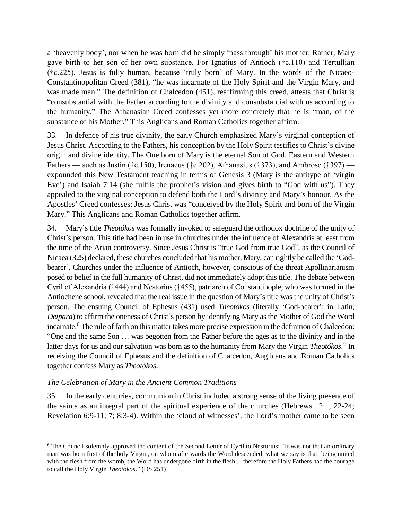a 'heavenly body', nor when he was born did he simply 'pass through' his mother. Rather, Mary gave birth to her son of her own substance. For Ignatius of Antioch (†c.110) and Tertullian (†c.225), Jesus is fully human, because 'truly born' of Mary. In the words of the Nicaeo-Constantinopolitan Creed (381), "he was incarnate of the Holy Spirit and the Virgin Mary, and was made man." The definition of Chalcedon (451), reaffirming this creed, attests that Christ is "consubstantial with the Father according to the divinity and consubstantial with us according to the humanity." The Athanasian Creed confesses yet more concretely that he is "man, of the substance of his Mother." This Anglicans and Roman Catholics together affirm.

33. In defence of his true divinity, the early Church emphasized Mary's virginal conception of Jesus Christ. According to the Fathers, his conception by the Holy Spirit testifies to Christ's divine origin and divine identity. The One born of Mary is the eternal Son of God. Eastern and Western Fathers — such as Justin (†c.150), Irenaeus (†c.202), Athanasius (†373), and Ambrose (†397) expounded this New Testament teaching in terms of Genesis 3 (Mary is the antitype of 'virgin Eve') and Isaiah 7:14 (she fulfils the prophet's vision and gives birth to "God with us"). They appealed to the virginal conception to defend both the Lord's divinity and Mary's honour. As the Apostles' Creed confesses: Jesus Christ was "conceived by the Holy Spirit and born of the Virgin Mary." This Anglicans and Roman Catholics together affirm.

34. Mary's title *Theotókos* was formally invoked to safeguard the orthodox doctrine of the unity of Christ's person. This title had been in use in churches under the influence of Alexandria at least from the time of the Arian controversy. Since Jesus Christ is "true God from true God", as the Council of Nicaea (325) declared, these churches concluded that his mother, Mary, can rightly be called the 'Godbearer'. Churches under the influence of Antioch, however, conscious of the threat Apollinarianism posed to belief in the full humanity of Christ, did not immediately adopt this title. The debate between Cyril of Alexandria (†444) and Nestorius (†455), patriarch of Constantinople, who was formed in the Antiochene school, revealed that the real issue in the question of Mary's title was the unity of Christ's person. The ensuing Council of Ephesus (431) used *Theotókos* (literally 'God-bearer'; in Latin, *Deipara*) to affirm the oneness of Christ's person by identifying Mary as the Mother of God the Word incarnate.<sup>6</sup> The rule of faith on this matter takes more precise expression in the definition of Chalcedon: "One and the same Son … was begotten from the Father before the ages as to the divinity and in the latter days for us and our salvation was born as to the humanity from Mary the Virgin *Theotókos*." In receiving the Council of Ephesus and the definition of Chalcedon, Anglicans and Roman Catholics together confess Mary as *Theotókos*.

## *The Celebration of Mary in the Ancient Common Traditions*

 $\overline{\phantom{a}}$ 

35. In the early centuries, communion in Christ included a strong sense of the living presence of the saints as an integral part of the spiritual experience of the churches (Hebrews 12:1, 22-24; Revelation 6:9-11; 7; 8:3-4). Within the 'cloud of witnesses', the Lord's mother came to be seen

<sup>&</sup>lt;sup>6</sup> The Council solemnly approved the content of the Second Letter of Cyril to Nestorius: "It was not that an ordinary man was born first of the holy Virgin, on whom afterwards the Word descended; what we say is that: being united with the flesh from the womb, the Word has undergone birth in the flesh ... therefore the Holy Fathers had the courage to call the Holy Virgin *Theotókos*." (DS 251)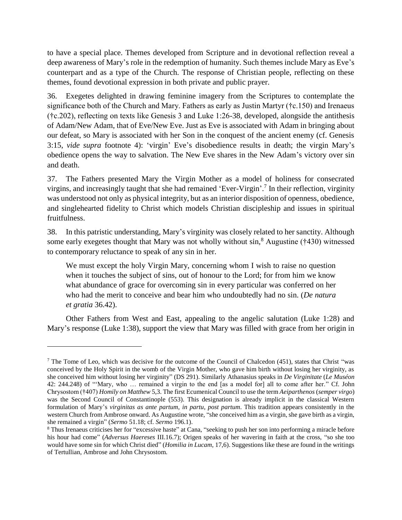to have a special place. Themes developed from Scripture and in devotional reflection reveal a deep awareness of Mary's role in the redemption of humanity. Such themes include Mary as Eve's counterpart and as a type of the Church. The response of Christian people, reflecting on these themes, found devotional expression in both private and public prayer.

36. Exegetes delighted in drawing feminine imagery from the Scriptures to contemplate the significance both of the Church and Mary. Fathers as early as Justin Martyr (†c.150) and Irenaeus (†c.202), reflecting on texts like Genesis 3 and Luke 1:26-38, developed, alongside the antithesis of Adam/New Adam, that of Eve/New Eve. Just as Eve is associated with Adam in bringing about our defeat, so Mary is associated with her Son in the conquest of the ancient enemy (cf. Genesis 3:15, *vide supra* footnote 4): 'virgin' Eve's disobedience results in death; the virgin Mary's obedience opens the way to salvation. The New Eve shares in the New Adam's victory over sin and death.

37. The Fathers presented Mary the Virgin Mother as a model of holiness for consecrated virgins, and increasingly taught that she had remained 'Ever-Virgin'. 7 In their reflection, virginity was understood not only as physical integrity, but as an interior disposition of openness, obedience, and singlehearted fidelity to Christ which models Christian discipleship and issues in spiritual fruitfulness.

38. In this patristic understanding, Mary's virginity was closely related to her sanctity. Although some early exegetes thought that Mary was not wholly without sin,<sup>8</sup> Augustine (†430) witnessed to contemporary reluctance to speak of any sin in her.

We must except the holy Virgin Mary, concerning whom I wish to raise no question when it touches the subject of sins, out of honour to the Lord; for from him we know what abundance of grace for overcoming sin in every particular was conferred on her who had the merit to conceive and bear him who undoubtedly had no sin. (*De natura et gratia* 36.42).

Other Fathers from West and East, appealing to the angelic salutation (Luke 1:28) and Mary's response (Luke 1:38), support the view that Mary was filled with grace from her origin in

 $\overline{\phantom{a}}$ 

<sup>&</sup>lt;sup>7</sup> The Tome of Leo, which was decisive for the outcome of the Council of Chalcedon (451), states that Christ "was conceived by the Holy Spirit in the womb of the Virgin Mother, who gave him birth without losing her virginity, as she conceived him without losing her virginity" (DS 291). Similarly Athanasius speaks in *De Virginitate* (*Le Muséon* 42: 244.248) of "'Mary, who … remained a virgin to the end [as a model for] all to come after her." Cf. John Chrysostom (†407) *Homily on Matthew* 5,3. The first Ecumenical Council to use the term *Aeiparthenos* (*semper virgo*) was the Second Council of Constantinople (553). This designation is already implicit in the classical Western formulation of Mary's *virginitas as ante partum*, *in partu*, *post partum*. This tradition appears consistently in the western Church from Ambrose onward. As Augustine wrote, "she conceived him as a virgin, she gave birth as a virgin, she remained a virgin" (*Sermo* 51.18; cf. *Sermo* 196.1).

<sup>&</sup>lt;sup>8</sup> Thus Irenaeus criticises her for "excessive haste" at Cana, "seeking to push her son into performing a miracle before his hour had come" (*Adversus Haereses* III.16.7); Origen speaks of her wavering in faith at the cross, "so she too would have some sin for which Christ died" (*Homilia in Lucam*, 17,6). Suggestions like these are found in the writings of Tertullian, Ambrose and John Chrysostom.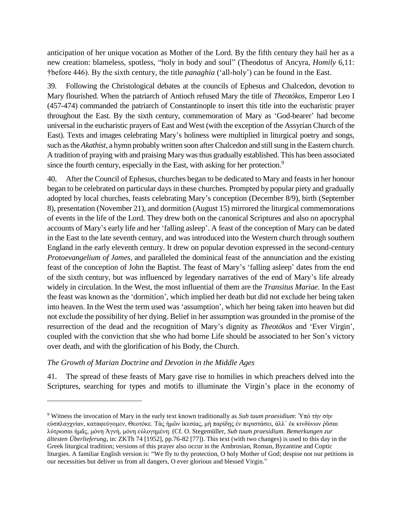anticipation of her unique vocation as Mother of the Lord. By the fifth century they hail her as a new creation: blameless, spotless, "holy in body and soul" (Theodotus of Ancyra, *Homily* 6,11: †before 446). By the sixth century, the title *panaghia* ('all-holy') can be found in the East.

39. Following the Christological debates at the councils of Ephesus and Chalcedon, devotion to Mary flourished. When the patriarch of Antioch refused Mary the title of *Theotókos*, Emperor Leo I (457-474) commanded the patriarch of Constantinople to insert this title into the eucharistic prayer throughout the East. By the sixth century, commemoration of Mary as 'God-bearer' had become universal in the eucharistic prayers of East and West (with the exception of the Assyrian Church of the East). Texts and images celebrating Mary's holiness were multiplied in liturgical poetry and songs, such as the *Akathist*, a hymn probably written soon after Chalcedon and still sung in the Eastern church. A tradition of praying with and praising Mary was thus gradually established. This has been associated since the fourth century, especially in the East, with asking for her protection.<sup>9</sup>

40. After the Council of Ephesus, churches began to be dedicated to Mary and feasts in her honour began to be celebrated on particular days in these churches. Prompted by popular piety and gradually adopted by local churches, feasts celebrating Mary's conception (December 8/9), birth (September 8), presentation (November 21), and dormition (August 15) mirrored the liturgical commemorations of events in the life of the Lord. They drew both on the canonical Scriptures and also on apocryphal accounts of Mary's early life and her 'falling asleep'. A feast of the conception of Mary can be dated in the East to the late seventh century, and was introduced into the Western church through southern England in the early eleventh century. It drew on popular devotion expressed in the second-century *Protoevangelium of James*, and paralleled the dominical feast of the annunciation and the existing feast of the conception of John the Baptist. The feast of Mary's 'falling asleep' dates from the end of the sixth century, but was influenced by legendary narratives of the end of Mary's life already widely in circulation. In the West, the most influential of them are the *Transitus Mariae*. In the East the feast was known as the 'dormition', which implied her death but did not exclude her being taken into heaven. In the West the term used was 'assumption', which her being taken into heaven but did not exclude the possibility of her dying. Belief in her assumption was grounded in the promise of the resurrection of the dead and the recognition of Mary's dignity as *Theotókos* and 'Ever Virgin', coupled with the conviction that she who had borne Life should be associated to her Son's victory over death, and with the glorification of his Body, the Church.

## *The Growth of Marian Doctrine and Devotion in the Middle Ages*

 $\overline{a}$ 

41. The spread of these feasts of Mary gave rise to homilies in which preachers delved into the Scriptures, searching for types and motifs to illuminate the Virgin's place in the economy of

<sup>9</sup> Witness the invocation of Mary in the early text known traditionally as *Sub tuum praesidium*: Ὑπὸ τὴν σὴν εὐσπλαγχνίαν, καταφεύγομεν, Θεοτόκε. Τὰς ἡμῶν ἱκεσίας, μὴ παρίδῃς ἐν περιστάσει, ἀλλ᾽ ἐκ κινδύνων ῥῦσαι λύτρωσαι ἡμᾶς, μόνη Ἁγνή, μόνη εὐλογημένη. (Cf. O. Stegemüller, *Sub tuum praesidium*. *Bemerkungen zur ältesten Überlieferung*, in: ZKTh 74 [1952], pp.76-82 [77]). This text (with two changes) is used to this day in the Greek liturgical tradition; versions of this prayer also occur in the Ambrosian, Roman, Byzantine and Coptic liturgies. A familiar English version is: "We fly to thy protection, O holy Mother of God; despise not our petitions in our necessities but deliver us from all dangers, O ever glorious and blessed Virgin."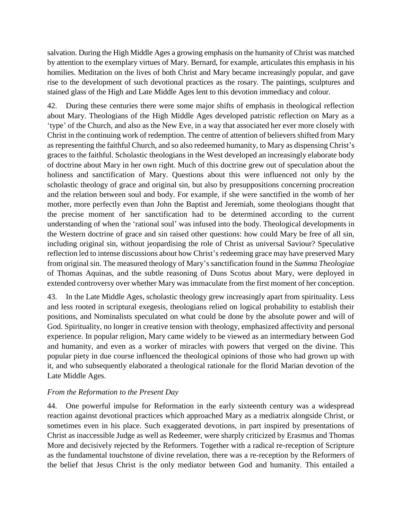salvation. During the High Middle Ages a growing emphasis on the humanity of Christ was matched by attention to the exemplary virtues of Mary. Bernard, for example, articulates this emphasis in his homilies. Meditation on the lives of both Christ and Mary became increasingly popular, and gave rise to the development of such devotional practices as the rosary. The paintings, sculptures and stained glass of the High and Late Middle Ages lent to this devotion immediacy and colour.

42. During these centuries there were some major shifts of emphasis in theological reflection about Mary. Theologians of the High Middle Ages developed patristic reflection on Mary as a 'type' of the Church, and also as the New Eve, in a way that associated her ever more closely with Christ in the continuing work of redemption. The centre of attention of believers shifted from Mary as representing the faithful Church, and so also redeemed humanity, to Mary as dispensing Christ's graces to the faithful. Scholastic theologians in the West developed an increasingly elaborate body of doctrine about Mary in her own right. Much of this doctrine grew out of speculation about the holiness and sanctification of Mary. Questions about this were influenced not only by the scholastic theology of grace and original sin, but also by presuppositions concerning procreation and the relation between soul and body. For example, if she were sanctified in the womb of her mother, more perfectly even than John the Baptist and Jeremiah, some theologians thought that the precise moment of her sanctification had to be determined according to the current understanding of when the 'rational soul' was infused into the body. Theological developments in the Western doctrine of grace and sin raised other questions: how could Mary be free of all sin, including original sin, without jeopardising the role of Christ as universal Saviour? Speculative reflection led to intense discussions about how Christ's redeeming grace may have preserved Mary from original sin. The measured theology of Mary's sanctification found in the *Summa Theologiae* of Thomas Aquinas, and the subtle reasoning of Duns Scotus about Mary, were deployed in extended controversy over whether Mary was immaculate from the first moment of her conception.

43. In the Late Middle Ages, scholastic theology grew increasingly apart from spirituality. Less and less rooted in scriptural exegesis, theologians relied on logical probability to establish their positions, and Nominalists speculated on what could be done by the absolute power and will of God. Spirituality, no longer in creative tension with theology, emphasized affectivity and personal experience. In popular religion, Mary came widely to be viewed as an intermediary between God and humanity, and even as a worker of miracles with powers that verged on the divine. This popular piety in due course influenced the theological opinions of those who had grown up with it, and who subsequently elaborated a theological rationale for the florid Marian devotion of the Late Middle Ages.

## *From the Reformation to the Present Day*

44. One powerful impulse for Reformation in the early sixteenth century was a widespread reaction against devotional practices which approached Mary as a mediatrix alongside Christ, or sometimes even in his place. Such exaggerated devotions, in part inspired by presentations of Christ as inaccessible Judge as well as Redeemer, were sharply criticized by Erasmus and Thomas More and decisively rejected by the Reformers. Together with a radical re-reception of Scripture as the fundamental touchstone of divine revelation, there was a re-reception by the Reformers of the belief that Jesus Christ is the only mediator between God and humanity. This entailed a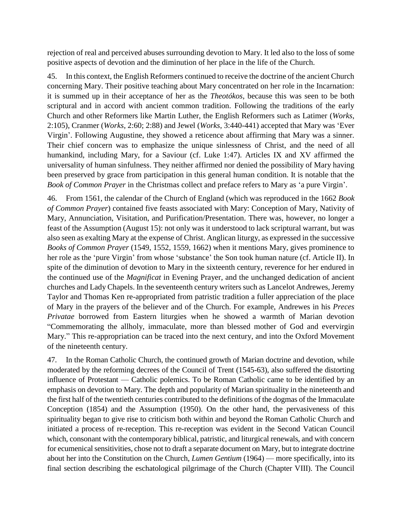rejection of real and perceived abuses surrounding devotion to Mary. It led also to the loss of some positive aspects of devotion and the diminution of her place in the life of the Church.

45. In this context, the English Reformers continued to receive the doctrine of the ancient Church concerning Mary. Their positive teaching about Mary concentrated on her role in the Incarnation: it is summed up in their acceptance of her as the *Theotókos*, because this was seen to be both scriptural and in accord with ancient common tradition. Following the traditions of the early Church and other Reformers like Martin Luther, the English Reformers such as Latimer (*Works*, 2:105), Cranmer (*Works*, 2:60; 2:88) and Jewel (*Works*, 3:440-441) accepted that Mary was 'Ever Virgin'. Following Augustine, they showed a reticence about affirming that Mary was a sinner. Their chief concern was to emphasize the unique sinlessness of Christ, and the need of all humankind, including Mary, for a Saviour (cf. Luke 1:47). Articles IX and XV affirmed the universality of human sinfulness. They neither affirmed nor denied the possibility of Mary having been preserved by grace from participation in this general human condition. It is notable that the *Book of Common Prayer* in the Christmas collect and preface refers to Mary as 'a pure Virgin'.

46. From 1561, the calendar of the Church of England (which was reproduced in the 1662 *Book of Common Prayer*) contained five feasts associated with Mary: Conception of Mary, Nativity of Mary, Annunciation, Visitation, and Purification/Presentation. There was, however, no longer a feast of the Assumption (August 15): not only was it understood to lack scriptural warrant, but was also seen as exalting Mary at the expense of Christ. Anglican liturgy, as expressed in the successive *Books of Common Prayer* (1549, 1552, 1559, 1662) when it mentions Mary, gives prominence to her role as the 'pure Virgin' from whose 'substance' the Son took human nature (cf. Article II). In spite of the diminution of devotion to Mary in the sixteenth century, reverence for her endured in the continued use of the *Magnificat* in Evening Prayer, and the unchanged dedication of ancient churches and Lady Chapels. In the seventeenth century writers such as Lancelot Andrewes, Jeremy Taylor and Thomas Ken re-appropriated from patristic tradition a fuller appreciation of the place of Mary in the prayers of the believer and of the Church. For example, Andrewes in his *Preces Privatae* borrowed from Eastern liturgies when he showed a warmth of Marian devotion "Commemorating the allholy, immaculate, more than blessed mother of God and evervirgin Mary." This re-appropriation can be traced into the next century, and into the Oxford Movement of the nineteenth century.

47. In the Roman Catholic Church, the continued growth of Marian doctrine and devotion, while moderated by the reforming decrees of the Council of Trent (1545-63), also suffered the distorting influence of Protestant — Catholic polemics. To be Roman Catholic came to be identified by an emphasis on devotion to Mary. The depth and popularity of Marian spirituality in the nineteenth and the first half of the twentieth centuries contributed to the definitions of the dogmas of the Immaculate Conception (1854) and the Assumption (1950). On the other hand, the pervasiveness of this spirituality began to give rise to criticism both within and beyond the Roman Catholic Church and initiated a process of re-reception. This re-reception was evident in the Second Vatican Council which, consonant with the contemporary biblical, patristic, and liturgical renewals, and with concern for ecumenical sensitivities, chose not to draft a separate document on Mary, but to integrate doctrine about her into the Constitution on the Church, *Lumen Gentium* (1964) — more specifically, into its final section describing the eschatological pilgrimage of the Church (Chapter VIII). The Council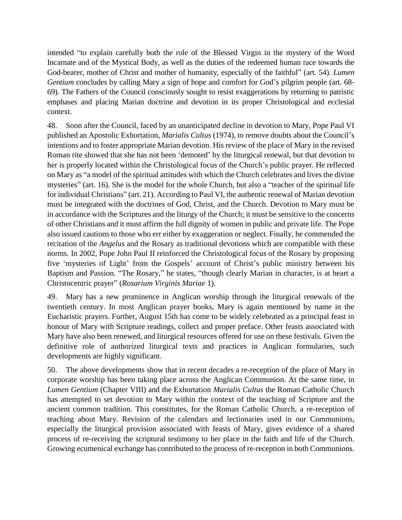intended "to explain carefully both the role of the Blessed Virgin in the mystery of the Word Incarnate and of the Mystical Body, as well as the duties of the redeemed human race towards the God-bearer, mother of Christ and mother of humanity, especially of the faithful" (art. 54). *Lumen Gentium* concludes by calling Mary a sign of hope and comfort for God's pilgrim people (art. 68- 69). The Fathers of the Council consciously sought to resist exaggerations by returning to patristic emphases and placing Marian doctrine and devotion in its proper Christological and ecclesial context.

48. Soon after the Council, faced by an unanticipated decline in devotion to Mary, Pope Paul VI published an Apostolic Exhortation, *Marialis Cultus* (1974), to remove doubts about the Council's intentions and to foster appropriate Marian devotion. His review of the place of Mary in the revised Roman rite showed that she has not been 'demoted' by the liturgical renewal, but that devotion to her is properly located within the Christological focus of the Church's public prayer. He reflected on Mary as "a model of the spiritual attitudes with which the Church celebrates and lives the divine mysteries" (art. 16). She is the model for the whole Church, but also a "teacher of the spiritual life for individual Christians" (art. 21). According to Paul VI, the authentic renewal of Marian devotion must be integrated with the doctrines of God, Christ, and the Church. Devotion to Mary must be in accordance with the Scriptures and the liturgy of the Church; it must be sensitive to the concerns of other Christians and it must affirm the full dignity of women in public and private life. The Pope also issued cautions to those who err either by exaggeration or neglect. Finally, he commended the recitation of the *Angelus* and the Rosary as traditional devotions which are compatible with these norms. In 2002, Pope John Paul II reinforced the Christological focus of the Rosary by proposing five 'mysteries of Light' from the Gospels' account of Christ's public ministry between his Baptism and Passion. "The Rosary," he states, "though clearly Marian in character, is at heart a Christocentric prayer" (*Rosarium Virginis Mariae* 1).

49. Mary has a new prominence in Anglican worship through the liturgical renewals of the twentieth century. In most Anglican prayer books, Mary is again mentioned by name in the Eucharistic prayers. Further, August 15th has come to be widely celebrated as a principal feast in honour of Mary with Scripture readings, collect and proper preface. Other feasts associated with Mary have also been renewed, and liturgical resources offered for use on these festivals. Given the definitive role of authorized liturgical texts and practices in Anglican formularies, such developments are highly significant.

50. The above developments show that in recent decades a re-reception of the place of Mary in corporate worship has been taking place across the Anglican Communion. At the same time, in *Lumen Gentium* (Chapter VIII) and the Exhortation *Marialis Cultus* the Roman Catholic Church has attempted to set devotion to Mary within the context of the teaching of Scripture and the ancient common tradition. This constitutes, for the Roman Catholic Church, a re-reception of teaching about Mary. Revision of the calendars and lectionaries used in our Communions, especially the liturgical provision associated with feasts of Mary, gives evidence of a shared process of re-receiving the scriptural testimony to her place in the faith and life of the Church. Growing ecumenical exchange has contributed to the process of re-reception in both Communions.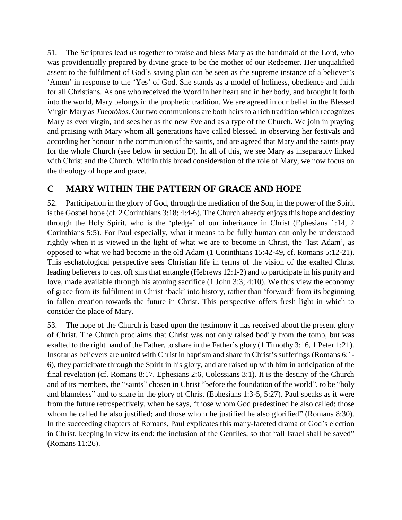51. The Scriptures lead us together to praise and bless Mary as the handmaid of the Lord, who was providentially prepared by divine grace to be the mother of our Redeemer. Her unqualified assent to the fulfilment of God's saving plan can be seen as the supreme instance of a believer's 'Amen' in response to the 'Yes' of God. She stands as a model of holiness, obedience and faith for all Christians. As one who received the Word in her heart and in her body, and brought it forth into the world, Mary belongs in the prophetic tradition. We are agreed in our belief in the Blessed Virgin Mary as *Theotókos*. Our two communions are both heirs to a rich tradition which recognizes Mary as ever virgin, and sees her as the new Eve and as a type of the Church. We join in praying and praising with Mary whom all generations have called blessed, in observing her festivals and according her honour in the communion of the saints, and are agreed that Mary and the saints pray for the whole Church (see below in section D). In all of this, we see Mary as inseparably linked with Christ and the Church. Within this broad consideration of the role of Mary, we now focus on the theology of hope and grace.

# **C MARY WITHIN THE PATTERN OF GRACE AND HOPE**

52. Participation in the glory of God, through the mediation of the Son, in the power of the Spirit is the Gospel hope (cf. 2 Corinthians 3:18; 4:4-6). The Church already enjoys this hope and destiny through the Holy Spirit, who is the 'pledge' of our inheritance in Christ (Ephesians 1:14, 2 Corinthians 5:5). For Paul especially, what it means to be fully human can only be understood rightly when it is viewed in the light of what we are to become in Christ, the 'last Adam', as opposed to what we had become in the old Adam (1 Corinthians 15:42-49, cf. Romans 5:12-21). This eschatological perspective sees Christian life in terms of the vision of the exalted Christ leading believers to cast off sins that entangle (Hebrews 12:1-2) and to participate in his purity and love, made available through his atoning sacrifice (1 John 3:3; 4:10). We thus view the economy of grace from its fulfilment in Christ 'back' into history, rather than 'forward' from its beginning in fallen creation towards the future in Christ. This perspective offers fresh light in which to consider the place of Mary.

53. The hope of the Church is based upon the testimony it has received about the present glory of Christ. The Church proclaims that Christ was not only raised bodily from the tomb, but was exalted to the right hand of the Father, to share in the Father's glory (1 Timothy 3:16, 1 Peter 1:21). Insofar as believers are united with Christ in baptism and share in Christ's sufferings (Romans 6:1- 6), they participate through the Spirit in his glory, and are raised up with him in anticipation of the final revelation (cf. Romans 8:17, Ephesians 2:6, Colossians 3:1). It is the destiny of the Church and of its members, the "saints" chosen in Christ "before the foundation of the world", to be "holy and blameless" and to share in the glory of Christ (Ephesians 1:3-5, 5:27). Paul speaks as it were from the future retrospectively, when he says, "those whom God predestined he also called; those whom he called he also justified; and those whom he justified he also glorified" (Romans 8:30). In the succeeding chapters of Romans, Paul explicates this many-faceted drama of God's election in Christ, keeping in view its end: the inclusion of the Gentiles, so that "all Israel shall be saved" (Romans 11:26).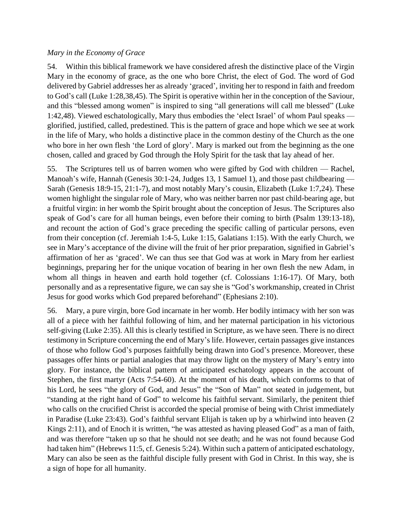#### *Mary in the Economy of Grace*

54. Within this biblical framework we have considered afresh the distinctive place of the Virgin Mary in the economy of grace, as the one who bore Christ, the elect of God. The word of God delivered by Gabriel addresses her as already 'graced', inviting her to respond in faith and freedom to God's call (Luke 1:28,38,45). The Spirit is operative within her in the conception of the Saviour, and this "blessed among women" is inspired to sing "all generations will call me blessed" (Luke 1:42,48). Viewed eschatologically, Mary thus embodies the 'elect Israel' of whom Paul speaks glorified, justified, called, predestined. This is the pattern of grace and hope which we see at work in the life of Mary, who holds a distinctive place in the common destiny of the Church as the one who bore in her own flesh 'the Lord of glory'. Mary is marked out from the beginning as the one chosen, called and graced by God through the Holy Spirit for the task that lay ahead of her.

55. The Scriptures tell us of barren women who were gifted by God with children — Rachel, Manoah's wife, Hannah (Genesis 30:1-24, Judges 13, 1 Samuel 1), and those past childbearing — Sarah (Genesis 18:9-15, 21:1-7), and most notably Mary's cousin, Elizabeth (Luke 1:7,24). These women highlight the singular role of Mary, who was neither barren nor past child-bearing age, but a fruitful virgin: in her womb the Spirit brought about the conception of Jesus. The Scriptures also speak of God's care for all human beings, even before their coming to birth (Psalm 139:13-18), and recount the action of God's grace preceding the specific calling of particular persons, even from their conception (cf. Jeremiah 1:4-5, Luke 1:15, Galatians 1:15). With the early Church, we see in Mary's acceptance of the divine will the fruit of her prior preparation, signified in Gabriel's affirmation of her as 'graced'. We can thus see that God was at work in Mary from her earliest beginnings, preparing her for the unique vocation of bearing in her own flesh the new Adam, in whom all things in heaven and earth hold together (cf. Colossians 1:16-17). Of Mary, both personally and as a representative figure, we can say she is "God's workmanship, created in Christ Jesus for good works which God prepared beforehand" (Ephesians 2:10).

56. Mary, a pure virgin, bore God incarnate in her womb. Her bodily intimacy with her son was all of a piece with her faithful following of him, and her maternal participation in his victorious self-giving (Luke 2:35). All this is clearly testified in Scripture, as we have seen. There is no direct testimony in Scripture concerning the end of Mary's life. However, certain passages give instances of those who follow God's purposes faithfully being drawn into God's presence. Moreover, these passages offer hints or partial analogies that may throw light on the mystery of Mary's entry into glory. For instance, the biblical pattern of anticipated eschatology appears in the account of Stephen, the first martyr (Acts 7:54-60). At the moment of his death, which conforms to that of his Lord, he sees "the glory of God, and Jesus" the "Son of Man" not seated in judgement, but "standing at the right hand of God" to welcome his faithful servant. Similarly, the penitent thief who calls on the crucified Christ is accorded the special promise of being with Christ immediately in Paradise (Luke 23:43). God's faithful servant Elijah is taken up by a whirlwind into heaven (2 Kings 2:11), and of Enoch it is written, "he was attested as having pleased God" as a man of faith, and was therefore "taken up so that he should not see death; and he was not found because God had taken him" (Hebrews 11:5, cf. Genesis 5:24). Within such a pattern of anticipated eschatology, Mary can also be seen as the faithful disciple fully present with God in Christ. In this way, she is a sign of hope for all humanity.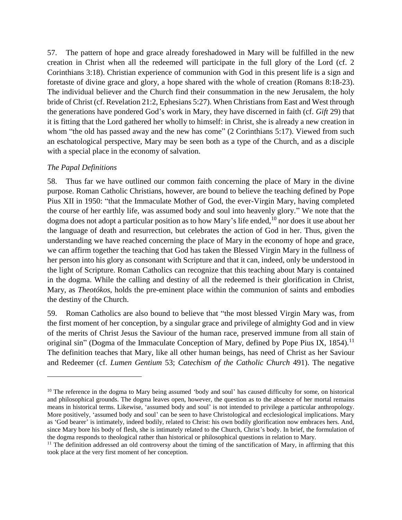57. The pattern of hope and grace already foreshadowed in Mary will be fulfilled in the new creation in Christ when all the redeemed will participate in the full glory of the Lord (cf. 2 Corinthians 3:18). Christian experience of communion with God in this present life is a sign and foretaste of divine grace and glory, a hope shared with the whole of creation (Romans 8:18-23). The individual believer and the Church find their consummation in the new Jerusalem, the holy bride of Christ (cf. Revelation 21:2, Ephesians 5:27). When Christians from East and West through the generations have pondered God's work in Mary, they have discerned in faith (cf. *Gift* 29) that it is fitting that the Lord gathered her wholly to himself: in Christ, she is already a new creation in whom "the old has passed away and the new has come" (2 Corinthians 5:17). Viewed from such an eschatological perspective, Mary may be seen both as a type of the Church, and as a disciple with a special place in the economy of salvation.

#### *The Papal Definitions*

 $\overline{\phantom{a}}$ 

58. Thus far we have outlined our common faith concerning the place of Mary in the divine purpose. Roman Catholic Christians, however, are bound to believe the teaching defined by Pope Pius XII in 1950: "that the Immaculate Mother of God, the ever-Virgin Mary, having completed the course of her earthly life, was assumed body and soul into heavenly glory." We note that the dogma does not adopt a particular position as to how Mary's life ended,<sup>10</sup> nor does it use about her the language of death and resurrection, but celebrates the action of God in her. Thus, given the understanding we have reached concerning the place of Mary in the economy of hope and grace, we can affirm together the teaching that God has taken the Blessed Virgin Mary in the fullness of her person into his glory as consonant with Scripture and that it can, indeed, only be understood in the light of Scripture. Roman Catholics can recognize that this teaching about Mary is contained in the dogma. While the calling and destiny of all the redeemed is their glorification in Christ, Mary, as *Theotókos*, holds the pre-eminent place within the communion of saints and embodies the destiny of the Church.

59. Roman Catholics are also bound to believe that "the most blessed Virgin Mary was, from the first moment of her conception, by a singular grace and privilege of almighty God and in view of the merits of Christ Jesus the Saviour of the human race, preserved immune from all stain of original sin" (Dogma of the Immaculate Conception of Mary, defined by Pope Pius IX, 1854).<sup>11</sup> The definition teaches that Mary, like all other human beings, has need of Christ as her Saviour and Redeemer (cf. *Lumen Gentium* 53; *Catechism of the Catholic Church* 491). The negative

 $10$  The reference in the dogma to Mary being assumed 'body and soul' has caused difficulty for some, on historical and philosophical grounds. The dogma leaves open, however, the question as to the absence of her mortal remains means in historical terms. Likewise, 'assumed body and soul' is not intended to privilege a particular anthropology. More positively, 'assumed body and soul' can be seen to have Christological and ecclesiological implications. Mary as 'God bearer' is intimately, indeed bodily, related to Christ: his own bodily glorification now embraces hers. And, since Mary bore his body of flesh, she is intimately related to the Church, Christ's body. In brief, the formulation of the dogma responds to theological rather than historical or philosophical questions in relation to Mary.

 $11$  The definition addressed an old controversy about the timing of the sanctification of Mary, in affirming that this took place at the very first moment of her conception.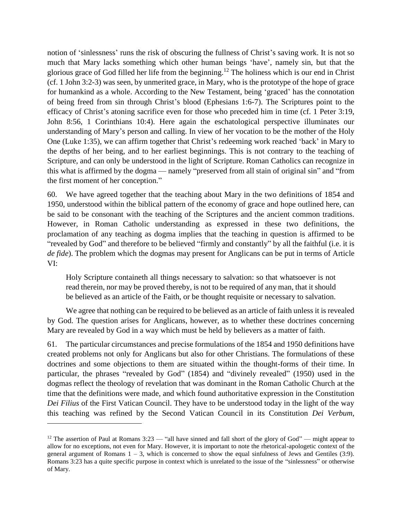notion of 'sinlessness' runs the risk of obscuring the fullness of Christ's saving work. It is not so much that Mary lacks something which other human beings 'have', namely sin, but that the glorious grace of God filled her life from the beginning.<sup>12</sup> The holiness which is our end in Christ (cf. 1 John 3:2-3) was seen, by unmerited grace, in Mary, who is the prototype of the hope of grace for humankind as a whole. According to the New Testament, being 'graced' has the connotation of being freed from sin through Christ's blood (Ephesians 1:6-7). The Scriptures point to the efficacy of Christ's atoning sacrifice even for those who preceded him in time (cf. 1 Peter 3:19, John 8:56, 1 Corinthians 10:4). Here again the eschatological perspective illuminates our understanding of Mary's person and calling. In view of her vocation to be the mother of the Holy One (Luke 1:35), we can affirm together that Christ's redeeming work reached 'back' in Mary to the depths of her being, and to her earliest beginnings. This is not contrary to the teaching of Scripture, and can only be understood in the light of Scripture. Roman Catholics can recognize in this what is affirmed by the dogma — namely "preserved from all stain of original sin" and "from the first moment of her conception."

60. We have agreed together that the teaching about Mary in the two definitions of 1854 and 1950, understood within the biblical pattern of the economy of grace and hope outlined here, can be said to be consonant with the teaching of the Scriptures and the ancient common traditions. However, in Roman Catholic understanding as expressed in these two definitions, the proclamation of any teaching as dogma implies that the teaching in question is affirmed to be "revealed by God" and therefore to be believed "firmly and constantly" by all the faithful (i.e. it is *de fide*). The problem which the dogmas may present for Anglicans can be put in terms of Article VI:

Holy Scripture containeth all things necessary to salvation: so that whatsoever is not read therein, nor may be proved thereby, is not to be required of any man, that it should be believed as an article of the Faith, or be thought requisite or necessary to salvation.

We agree that nothing can be required to be believed as an article of faith unless it is revealed by God. The question arises for Anglicans, however, as to whether these doctrines concerning Mary are revealed by God in a way which must be held by believers as a matter of faith.

61. The particular circumstances and precise formulations of the 1854 and 1950 definitions have created problems not only for Anglicans but also for other Christians. The formulations of these doctrines and some objections to them are situated within the thought-forms of their time. In particular, the phrases "revealed by God" (1854) and "divinely revealed" (1950) used in the dogmas reflect the theology of revelation that was dominant in the Roman Catholic Church at the time that the definitions were made, and which found authoritative expression in the Constitution *Dei Filius* of the First Vatican Council. They have to be understood today in the light of the way this teaching was refined by the Second Vatican Council in its Constitution *Dei Verbum*,

 $\overline{a}$ 

<sup>&</sup>lt;sup>12</sup> The assertion of Paul at Romans  $3:23$  — "all have sinned and fall short of the glory of God" — might appear to allow for no exceptions, not even for Mary. However, it is important to note the rhetorical-apologetic context of the general argument of Romans  $1 - 3$ , which is concerned to show the equal sinfulness of Jews and Gentiles (3:9). Romans 3:23 has a quite specific purpose in context which is unrelated to the issue of the "sinlessness" or otherwise of Mary.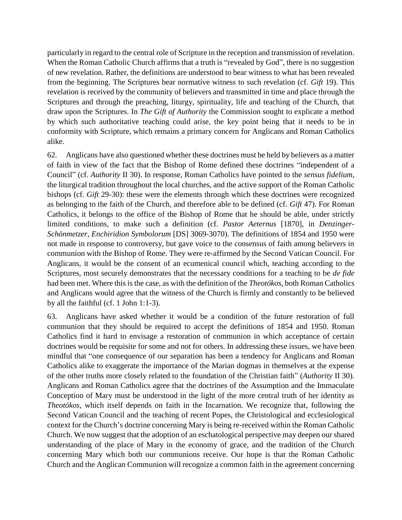particularly in regard to the central role of Scripture in the reception and transmission of revelation. When the Roman Catholic Church affirms that a truth is "revealed by God", there is no suggestion of new revelation. Rather, the definitions are understood to bear witness to what has been revealed from the beginning. The Scriptures bear normative witness to such revelation (cf. *Gift* 19). This revelation is received by the community of believers and transmitted in time and place through the Scriptures and through the preaching, liturgy, spirituality, life and teaching of the Church, that draw upon the Scriptures. In *The Gift of Authority* the Commission sought to explicate a method by which such authoritative teaching could arise, the key point being that it needs to be in conformity with Scripture, which remains a primary concern for Anglicans and Roman Catholics alike.

62. Anglicans have also questioned whether these doctrines must be held by believers as a matter of faith in view of the fact that the Bishop of Rome defined these doctrines "independent of a Council" (cf. *Authority* II 30). In response, Roman Catholics have pointed to the *sensus fidelium*, the liturgical tradition throughout the local churches, and the active support of the Roman Catholic bishops (cf. *Gift* 29-30): these were the elements through which these doctrines were recognized as belonging to the faith of the Church, and therefore able to be defined (cf. *Gift* 47). For Roman Catholics, it belongs to the office of the Bishop of Rome that he should be able, under strictly limited conditions, to make such a definition (cf. *Pastor Aeternus* [1870], in *Denzinger-Schönmetzer, Enchiridion Symbolorum* [DS] 3069-3070). The definitions of 1854 and 1950 were not made in response to controversy, but gave voice to the consensus of faith among believers in communion with the Bishop of Rome. They were re-affirmed by the Second Vatican Council. For Anglicans, it would be the consent of an ecumenical council which, teaching according to the Scriptures, most securely demonstrates that the necessary conditions for a teaching to be *de fide* had been met. Where this is the case, as with the definition of the *Theotókos*, both Roman Catholics and Anglicans would agree that the witness of the Church is firmly and constantly to be believed by all the faithful (cf. 1 John 1:1-3).

63. Anglicans have asked whether it would be a condition of the future restoration of full communion that they should be required to accept the definitions of 1854 and 1950. Roman Catholics find it hard to envisage a restoration of communion in which acceptance of certain doctrines would be requisite for some and not for others. In addressing these issues, we have been mindful that "one consequence of our separation has been a tendency for Anglicans and Roman Catholics alike to exaggerate the importance of the Marian dogmas in themselves at the expense of the other truths more closely related to the foundation of the Christian faith" (*Authority* II 30). Anglicans and Roman Catholics agree that the doctrines of the Assumption and the Immaculate Conception of Mary must be understood in the light of the more central truth of her identity as *Theotókos*, which itself depends on faith in the Incarnation. We recognize that, following the Second Vatican Council and the teaching of recent Popes, the Christological and ecclesiological context for the Church's doctrine concerning Mary is being re-received within the Roman Catholic Church. We now suggest that the adoption of an eschatological perspective may deepen our shared understanding of the place of Mary in the economy of grace, and the tradition of the Church concerning Mary which both our communions receive. Our hope is that the Roman Catholic Church and the Anglican Communion will recognize a common faith in the agreement concerning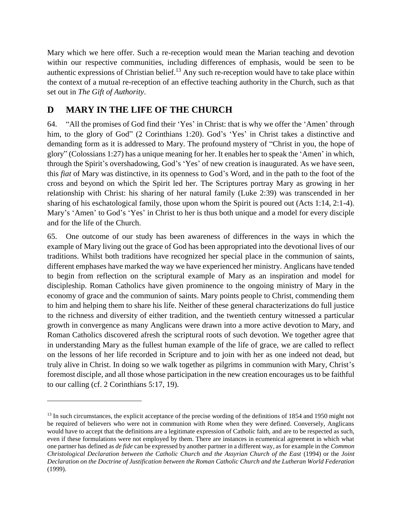Mary which we here offer. Such a re-reception would mean the Marian teaching and devotion within our respective communities, including differences of emphasis, would be seen to be authentic expressions of Christian belief.<sup>13</sup> Any such re-reception would have to take place within the context of a mutual re-reception of an effective teaching authority in the Church, such as that set out in *The Gift of Authority*.

# **D MARY IN THE LIFE OF THE CHURCH**

 $\overline{a}$ 

64. "All the promises of God find their 'Yes' in Christ: that is why we offer the 'Amen' through him, to the glory of God" (2 Corinthians 1:20). God's 'Yes' in Christ takes a distinctive and demanding form as it is addressed to Mary. The profound mystery of "Christ in you, the hope of glory" (Colossians 1:27) has a unique meaning for her. It enables her to speak the 'Amen' in which, through the Spirit's overshadowing, God's 'Yes' of new creation is inaugurated. As we have seen, this *fiat* of Mary was distinctive, in its openness to God's Word, and in the path to the foot of the cross and beyond on which the Spirit led her. The Scriptures portray Mary as growing in her relationship with Christ: his sharing of her natural family (Luke 2:39) was transcended in her sharing of his eschatological family, those upon whom the Spirit is poured out (Acts 1:14, 2:1-4). Mary's 'Amen' to God's 'Yes' in Christ to her is thus both unique and a model for every disciple and for the life of the Church.

65. One outcome of our study has been awareness of differences in the ways in which the example of Mary living out the grace of God has been appropriated into the devotional lives of our traditions. Whilst both traditions have recognized her special place in the communion of saints, different emphases have marked the way we have experienced her ministry. Anglicans have tended to begin from reflection on the scriptural example of Mary as an inspiration and model for discipleship. Roman Catholics have given prominence to the ongoing ministry of Mary in the economy of grace and the communion of saints. Mary points people to Christ, commending them to him and helping them to share his life. Neither of these general characterizations do full justice to the richness and diversity of either tradition, and the twentieth century witnessed a particular growth in convergence as many Anglicans were drawn into a more active devotion to Mary, and Roman Catholics discovered afresh the scriptural roots of such devotion. We together agree that in understanding Mary as the fullest human example of the life of grace, we are called to reflect on the lessons of her life recorded in Scripture and to join with her as one indeed not dead, but truly alive in Christ. In doing so we walk together as pilgrims in communion with Mary, Christ's foremost disciple, and all those whose participation in the new creation encourages us to be faithful to our calling (cf. 2 Corinthians 5:17, 19).

<sup>&</sup>lt;sup>13</sup> In such circumstances, the explicit acceptance of the precise wording of the definitions of 1854 and 1950 might not be required of believers who were not in communion with Rome when they were defined. Conversely, Anglicans would have to accept that the definitions are a legitimate expression of Catholic faith, and are to be respected as such, even if these formulations were not employed by them. There are instances in ecumenical agreement in which what one partner has defined as *de fide* can be expressed by another partner in a different way, as for example in the *Common Christological Declaration between the Catholic Church and the Assyrian Church of the East* (1994) or the *Joint Declaration on the Doctrine of Justification between the Roman Catholic Church and the Lutheran World Federation* (1999).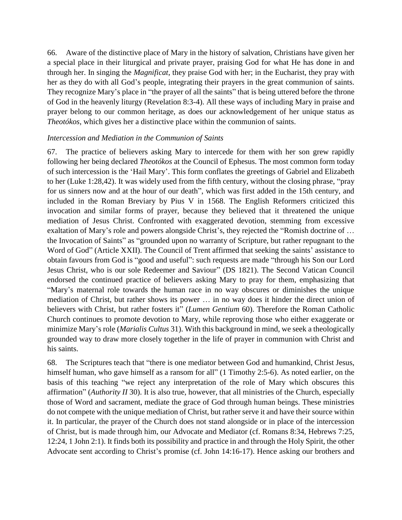66. Aware of the distinctive place of Mary in the history of salvation, Christians have given her a special place in their liturgical and private prayer, praising God for what He has done in and through her. In singing the *Magnificat*, they praise God with her; in the Eucharist, they pray with her as they do with all God's people, integrating their prayers in the great communion of saints. They recognize Mary's place in "the prayer of all the saints" that is being uttered before the throne of God in the heavenly liturgy (Revelation 8:3-4). All these ways of including Mary in praise and prayer belong to our common heritage, as does our acknowledgement of her unique status as *Theotókos*, which gives her a distinctive place within the communion of saints.

#### *Intercession and Mediation in the Communion of Saints*

67. The practice of believers asking Mary to intercede for them with her son grew rapidly following her being declared *Theotókos* at the Council of Ephesus. The most common form today of such intercession is the 'Hail Mary'. This form conflates the greetings of Gabriel and Elizabeth to her (Luke 1:28,42). It was widely used from the fifth century, without the closing phrase, "pray for us sinners now and at the hour of our death", which was first added in the 15th century, and included in the Roman Breviary by Pius V in 1568. The English Reformers criticized this invocation and similar forms of prayer, because they believed that it threatened the unique mediation of Jesus Christ. Confronted with exaggerated devotion, stemming from excessive exaltation of Mary's role and powers alongside Christ's, they rejected the "Romish doctrine of … the Invocation of Saints" as "grounded upon no warranty of Scripture, but rather repugnant to the Word of God" (Article XXII). The Council of Trent affirmed that seeking the saints' assistance to obtain favours from God is "good and useful": such requests are made "through his Son our Lord Jesus Christ, who is our sole Redeemer and Saviour" (DS 1821). The Second Vatican Council endorsed the continued practice of believers asking Mary to pray for them, emphasizing that "Mary's maternal role towards the human race in no way obscures or diminishes the unique mediation of Christ, but rather shows its power … in no way does it hinder the direct union of believers with Christ, but rather fosters it" (*Lumen Gentium* 60). Therefore the Roman Catholic Church continues to promote devotion to Mary, while reproving those who either exaggerate or minimize Mary's role (*Marialis Cultus* 31). With this background in mind, we seek a theologically grounded way to draw more closely together in the life of prayer in communion with Christ and his saints.

68. The Scriptures teach that "there is one mediator between God and humankind, Christ Jesus, himself human, who gave himself as a ransom for all" (1 Timothy 2:5-6). As noted earlier, on the basis of this teaching "we reject any interpretation of the role of Mary which obscures this affirmation" (*Authority II* 30). It is also true, however, that all ministries of the Church, especially those of Word and sacrament, mediate the grace of God through human beings. These ministries do not compete with the unique mediation of Christ, but rather serve it and have their source within it. In particular, the prayer of the Church does not stand alongside or in place of the intercession of Christ, but is made through him, our Advocate and Mediator (cf. Romans 8:34, Hebrews 7:25, 12:24, 1 John 2:1). It finds both its possibility and practice in and through the Holy Spirit, the other Advocate sent according to Christ's promise (cf. John 14:16-17). Hence asking our brothers and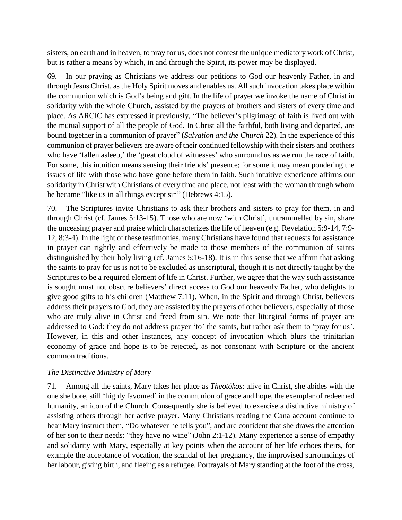sisters, on earth and in heaven, to pray for us, does not contest the unique mediatory work of Christ, but is rather a means by which, in and through the Spirit, its power may be displayed.

69. In our praying as Christians we address our petitions to God our heavenly Father, in and through Jesus Christ, as the Holy Spirit moves and enables us. All such invocation takes place within the communion which is God's being and gift. In the life of prayer we invoke the name of Christ in solidarity with the whole Church, assisted by the prayers of brothers and sisters of every time and place. As ARCIC has expressed it previously, "The believer's pilgrimage of faith is lived out with the mutual support of all the people of God. In Christ all the faithful, both living and departed, are bound together in a communion of prayer" (*Salvation and the Church* 22). In the experience of this communion of prayer believers are aware of their continued fellowship with their sisters and brothers who have 'fallen asleep,' the 'great cloud of witnesses' who surround us as we run the race of faith. For some, this intuition means sensing their friends' presence; for some it may mean pondering the issues of life with those who have gone before them in faith. Such intuitive experience affirms our solidarity in Christ with Christians of every time and place, not least with the woman through whom he became "like us in all things except sin" (Hebrews 4:15).

70. The Scriptures invite Christians to ask their brothers and sisters to pray for them, in and through Christ (cf. James 5:13-15). Those who are now 'with Christ', untrammelled by sin, share the unceasing prayer and praise which characterizes the life of heaven (e.g. Revelation 5:9-14, 7:9- 12, 8:3-4). In the light of these testimonies, many Christians have found that requests for assistance in prayer can rightly and effectively be made to those members of the communion of saints distinguished by their holy living (cf. James 5:16-18). It is in this sense that we affirm that asking the saints to pray for us is not to be excluded as unscriptural, though it is not directly taught by the Scriptures to be a required element of life in Christ. Further, we agree that the way such assistance is sought must not obscure believers' direct access to God our heavenly Father, who delights to give good gifts to his children (Matthew 7:11). When, in the Spirit and through Christ, believers address their prayers to God, they are assisted by the prayers of other believers, especially of those who are truly alive in Christ and freed from sin. We note that liturgical forms of prayer are addressed to God: they do not address prayer 'to' the saints, but rather ask them to 'pray for us'. However, in this and other instances, any concept of invocation which blurs the trinitarian economy of grace and hope is to be rejected, as not consonant with Scripture or the ancient common traditions.

## *The Distinctive Ministry of Mary*

71. Among all the saints, Mary takes her place as *Theotókos*: alive in Christ, she abides with the one she bore, still 'highly favoured' in the communion of grace and hope, the exemplar of redeemed humanity, an icon of the Church. Consequently she is believed to exercise a distinctive ministry of assisting others through her active prayer. Many Christians reading the Cana account continue to hear Mary instruct them, "Do whatever he tells you", and are confident that she draws the attention of her son to their needs: "they have no wine" (John 2:1-12). Many experience a sense of empathy and solidarity with Mary, especially at key points when the account of her life echoes theirs, for example the acceptance of vocation, the scandal of her pregnancy, the improvised surroundings of her labour, giving birth, and fleeing as a refugee. Portrayals of Mary standing at the foot of the cross,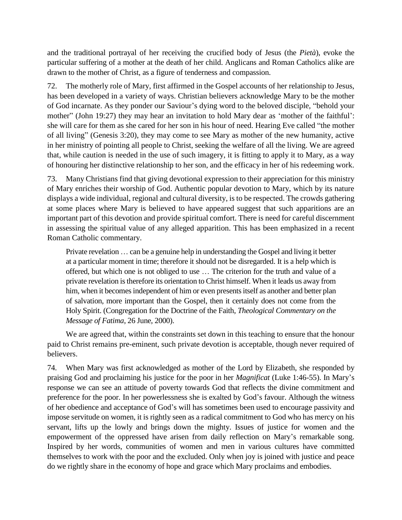and the traditional portrayal of her receiving the crucified body of Jesus (the *Pietà*), evoke the particular suffering of a mother at the death of her child. Anglicans and Roman Catholics alike are drawn to the mother of Christ, as a figure of tenderness and compassion.

72. The motherly role of Mary, first affirmed in the Gospel accounts of her relationship to Jesus, has been developed in a variety of ways. Christian believers acknowledge Mary to be the mother of God incarnate. As they ponder our Saviour's dying word to the beloved disciple, "behold your mother" (John 19:27) they may hear an invitation to hold Mary dear as 'mother of the faithful': she will care for them as she cared for her son in his hour of need. Hearing Eve called "the mother of all living" (Genesis 3:20), they may come to see Mary as mother of the new humanity, active in her ministry of pointing all people to Christ, seeking the welfare of all the living. We are agreed that, while caution is needed in the use of such imagery, it is fitting to apply it to Mary, as a way of honouring her distinctive relationship to her son, and the efficacy in her of his redeeming work.

73. Many Christians find that giving devotional expression to their appreciation for this ministry of Mary enriches their worship of God. Authentic popular devotion to Mary, which by its nature displays a wide individual, regional and cultural diversity, is to be respected. The crowds gathering at some places where Mary is believed to have appeared suggest that such apparitions are an important part of this devotion and provide spiritual comfort. There is need for careful discernment in assessing the spiritual value of any alleged apparition. This has been emphasized in a recent Roman Catholic commentary.

Private revelation … can be a genuine help in understanding the Gospel and living it better at a particular moment in time; therefore it should not be disregarded. It is a help which is offered, but which one is not obliged to use … The criterion for the truth and value of a private revelation is therefore its orientation to Christ himself. When it leads us away from him, when it becomes independent of him or even presents itself as another and better plan of salvation, more important than the Gospel, then it certainly does not come from the Holy Spirit. (Congregation for the Doctrine of the Faith, *Theological Commentary on the Message of Fatima*, 26 June, 2000).

We are agreed that, within the constraints set down in this teaching to ensure that the honour paid to Christ remains pre-eminent, such private devotion is acceptable, though never required of believers.

74. When Mary was first acknowledged as mother of the Lord by Elizabeth, she responded by praising God and proclaiming his justice for the poor in her *Magnificat* (Luke 1:46-55). In Mary's response we can see an attitude of poverty towards God that reflects the divine commitment and preference for the poor. In her powerlessness she is exalted by God's favour. Although the witness of her obedience and acceptance of God's will has sometimes been used to encourage passivity and impose servitude on women, it is rightly seen as a radical commitment to God who has mercy on his servant, lifts up the lowly and brings down the mighty. Issues of justice for women and the empowerment of the oppressed have arisen from daily reflection on Mary's remarkable song. Inspired by her words, communities of women and men in various cultures have committed themselves to work with the poor and the excluded. Only when joy is joined with justice and peace do we rightly share in the economy of hope and grace which Mary proclaims and embodies.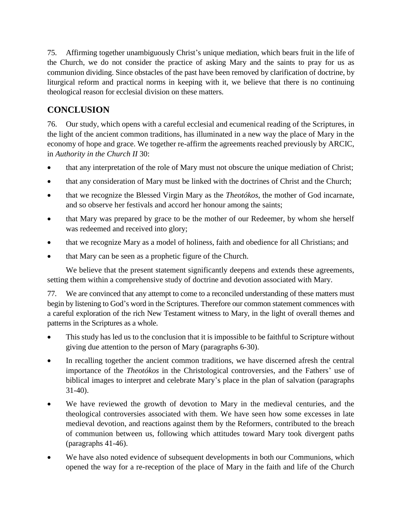75. Affirming together unambiguously Christ's unique mediation, which bears fruit in the life of the Church, we do not consider the practice of asking Mary and the saints to pray for us as communion dividing. Since obstacles of the past have been removed by clarification of doctrine, by liturgical reform and practical norms in keeping with it, we believe that there is no continuing theological reason for ecclesial division on these matters.

# **CONCLUSION**

76. Our study, which opens with a careful ecclesial and ecumenical reading of the Scriptures, in the light of the ancient common traditions, has illuminated in a new way the place of Mary in the economy of hope and grace. We together re-affirm the agreements reached previously by ARCIC, in *Authority in the Church II* 30:

- that any interpretation of the role of Mary must not obscure the unique mediation of Christ;
- that any consideration of Mary must be linked with the doctrines of Christ and the Church;
- that we recognize the Blessed Virgin Mary as the *Theotókos*, the mother of God incarnate, and so observe her festivals and accord her honour among the saints;
- that Mary was prepared by grace to be the mother of our Redeemer, by whom she herself was redeemed and received into glory;
- that we recognize Mary as a model of holiness, faith and obedience for all Christians; and
- that Mary can be seen as a prophetic figure of the Church.

We believe that the present statement significantly deepens and extends these agreements, setting them within a comprehensive study of doctrine and devotion associated with Mary.

77. We are convinced that any attempt to come to a reconciled understanding of these matters must begin by listening to God's word in the Scriptures. Therefore our common statement commences with a careful exploration of the rich New Testament witness to Mary, in the light of overall themes and patterns in the Scriptures as a whole.

- This study has led us to the conclusion that it is impossible to be faithful to Scripture without giving due attention to the person of Mary (paragraphs 6-30).
- In recalling together the ancient common traditions, we have discerned afresh the central importance of the *Theotókos* in the Christological controversies, and the Fathers' use of biblical images to interpret and celebrate Mary's place in the plan of salvation (paragraphs 31-40).
- We have reviewed the growth of devotion to Mary in the medieval centuries, and the theological controversies associated with them. We have seen how some excesses in late medieval devotion, and reactions against them by the Reformers, contributed to the breach of communion between us, following which attitudes toward Mary took divergent paths (paragraphs 41-46).
- We have also noted evidence of subsequent developments in both our Communions, which opened the way for a re-reception of the place of Mary in the faith and life of the Church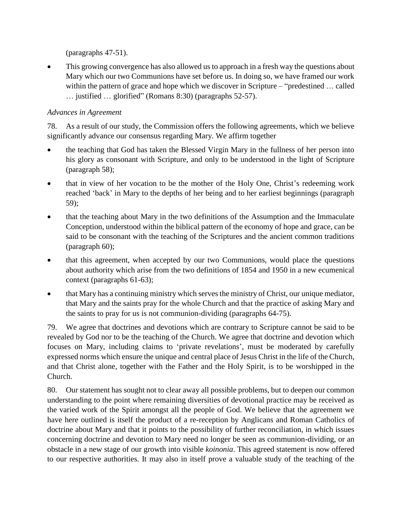(paragraphs 47-51).

 This growing convergence has also allowed us to approach in a fresh way the questions about Mary which our two Communions have set before us. In doing so, we have framed our work within the pattern of grace and hope which we discover in Scripture – "predestined ... called … justified … glorified" (Romans 8:30) (paragraphs 52-57).

# *Advances in Agreement*

78. As a result of our study, the Commission offers the following agreements, which we believe significantly advance our consensus regarding Mary. We affirm together

- the teaching that God has taken the Blessed Virgin Mary in the fullness of her person into his glory as consonant with Scripture, and only to be understood in the light of Scripture (paragraph 58);
- that in view of her vocation to be the mother of the Holy One, Christ's redeeming work reached 'back' in Mary to the depths of her being and to her earliest beginnings (paragraph 59);
- that the teaching about Mary in the two definitions of the Assumption and the Immaculate Conception, understood within the biblical pattern of the economy of hope and grace, can be said to be consonant with the teaching of the Scriptures and the ancient common traditions (paragraph 60);
- that this agreement, when accepted by our two Communions, would place the questions about authority which arise from the two definitions of 1854 and 1950 in a new ecumenical context (paragraphs 61-63);
- that Mary has a continuing ministry which serves the ministry of Christ, our unique mediator, that Mary and the saints pray for the whole Church and that the practice of asking Mary and the saints to pray for us is not communion-dividing (paragraphs 64-75).

79. We agree that doctrines and devotions which are contrary to Scripture cannot be said to be revealed by God nor to be the teaching of the Church. We agree that doctrine and devotion which focuses on Mary, including claims to 'private revelations', must be moderated by carefully expressed norms which ensure the unique and central place of Jesus Christ in the life of the Church, and that Christ alone, together with the Father and the Holy Spirit, is to be worshipped in the Church.

80. Our statement has sought not to clear away all possible problems, but to deepen our common understanding to the point where remaining diversities of devotional practice may be received as the varied work of the Spirit amongst all the people of God. We believe that the agreement we have here outlined is itself the product of a re-reception by Anglicans and Roman Catholics of doctrine about Mary and that it points to the possibility of further reconciliation, in which issues concerning doctrine and devotion to Mary need no longer be seen as communion-dividing, or an obstacle in a new stage of our growth into visible *koinonia*. This agreed statement is now offered to our respective authorities. It may also in itself prove a valuable study of the teaching of the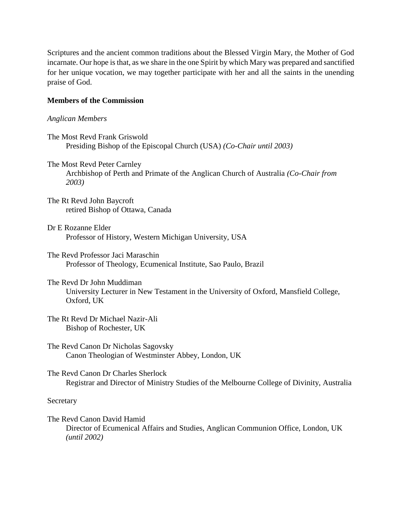Scriptures and the ancient common traditions about the Blessed Virgin Mary, the Mother of God incarnate. Our hope is that, as we share in the one Spirit by which Mary was prepared and sanctified for her unique vocation, we may together participate with her and all the saints in the unending praise of God.

## **Members of the Commission**

#### *Anglican Members*

| The Most Revd Frank Griswold<br>Presiding Bishop of the Episcopal Church (USA) (Co-Chair until 2003)                             |
|----------------------------------------------------------------------------------------------------------------------------------|
| The Most Revd Peter Carnley<br>Archbishop of Perth and Primate of the Anglican Church of Australia (Co-Chair from<br>2003)       |
| The Rt Revd John Baycroft<br>retired Bishop of Ottawa, Canada                                                                    |
| Dr E Rozanne Elder<br>Professor of History, Western Michigan University, USA                                                     |
| The Revd Professor Jaci Maraschin<br>Professor of Theology, Ecumenical Institute, Sao Paulo, Brazil                              |
| The Revd Dr John Muddiman<br>University Lecturer in New Testament in the University of Oxford, Mansfield College,<br>Oxford, UK  |
| The Rt Revd Dr Michael Nazir-Ali<br>Bishop of Rochester, UK                                                                      |
| The Revd Canon Dr Nicholas Sagovsky<br>Canon Theologian of Westminster Abbey, London, UK                                         |
| The Revd Canon Dr Charles Sherlock<br>Registrar and Director of Ministry Studies of the Melbourne College of Divinity, Australia |
| Secretary                                                                                                                        |
| The Revd Canon David Hamid<br>$\sim$ $\sim$ $\sim$ $\sim$                                                                        |

Director of Ecumenical Affairs and Studies, Anglican Communion Office, London, UK *(until 2002)*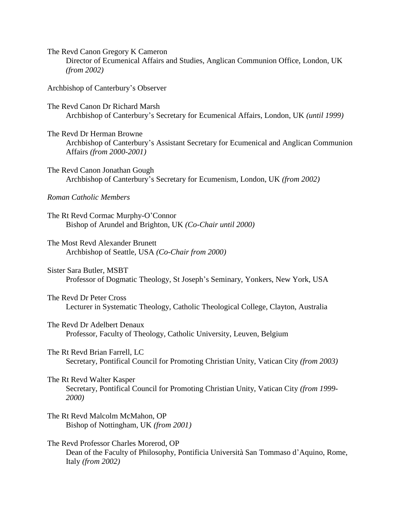The Revd Canon Gregory K Cameron

Director of Ecumenical Affairs and Studies, Anglican Communion Office, London, UK *(from 2002)*

Archbishop of Canterbury's Observer

The Revd Canon Dr Richard Marsh Archbishop of Canterbury's Secretary for Ecumenical Affairs, London, UK *(until 1999)*

The Revd Dr Herman Browne Archbishop of Canterbury's Assistant Secretary for Ecumenical and Anglican Communion Affairs *(from 2000-2001)*

The Revd Canon Jonathan Gough Archbishop of Canterbury's Secretary for Ecumenism, London, UK *(from 2002)*

#### *Roman Catholic Members*

- The Rt Revd Cormac Murphy-O'Connor Bishop of Arundel and Brighton, UK *(Co-Chair until 2000)*
- The Most Revd Alexander Brunett Archbishop of Seattle, USA *(Co-Chair from 2000)*
- Sister Sara Butler, MSBT Professor of Dogmatic Theology, St Joseph's Seminary, Yonkers, New York, USA
- The Revd Dr Peter Cross Lecturer in Systematic Theology, Catholic Theological College, Clayton, Australia
- The Revd Dr Adelbert Denaux Professor, Faculty of Theology, Catholic University, Leuven, Belgium
- The Rt Revd Brian Farrell, LC Secretary, Pontifical Council for Promoting Christian Unity, Vatican City *(from 2003)*
- The Rt Revd Walter Kasper Secretary, Pontifical Council for Promoting Christian Unity, Vatican City *(from 1999- 2000)*
- The Rt Revd Malcolm McMahon, OP Bishop of Nottingham, UK *(from 2001)*
- The Revd Professor Charles Morerod, OP Dean of the Faculty of Philosophy, Pontificia Università San Tommaso d'Aquino, Rome, Italy *(from 2002)*